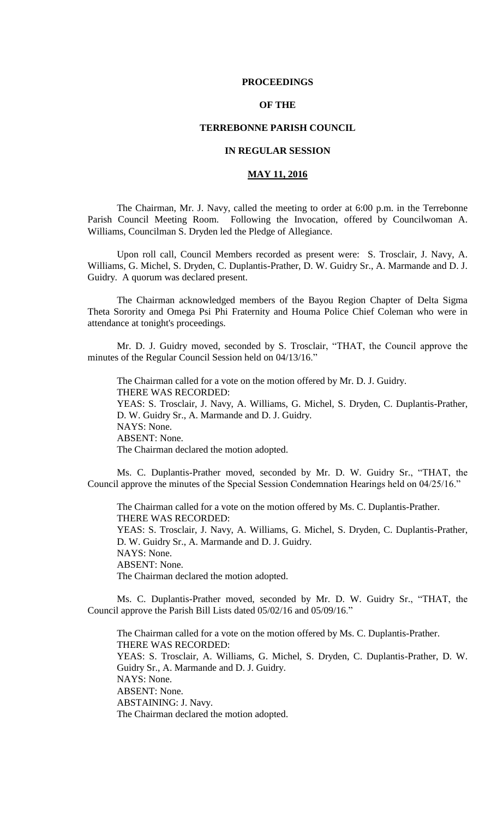### **PROCEEDINGS**

# **OF THE**

## **TERREBONNE PARISH COUNCIL**

## **IN REGULAR SESSION**

# **MAY 11, 2016**

The Chairman, Mr. J. Navy, called the meeting to order at 6:00 p.m. in the Terrebonne Parish Council Meeting Room. Following the Invocation, offered by Councilwoman A. Williams, Councilman S. Dryden led the Pledge of Allegiance.

Upon roll call, Council Members recorded as present were: S. Trosclair, J. Navy, A. Williams, G. Michel, S. Dryden, C. Duplantis-Prather, D. W. Guidry Sr., A. Marmande and D. J. Guidry. A quorum was declared present.

The Chairman acknowledged members of the Bayou Region Chapter of Delta Sigma Theta Sorority and Omega Psi Phi Fraternity and Houma Police Chief Coleman who were in attendance at tonight's proceedings.

Mr. D. J. Guidry moved, seconded by S. Trosclair, "THAT, the Council approve the minutes of the Regular Council Session held on 04/13/16."

The Chairman called for a vote on the motion offered by Mr. D. J. Guidry. THERE WAS RECORDED: YEAS: S. Trosclair, J. Navy, A. Williams, G. Michel, S. Dryden, C. Duplantis-Prather, D. W. Guidry Sr., A. Marmande and D. J. Guidry. NAYS: None. ABSENT: None. The Chairman declared the motion adopted.

Ms. C. Duplantis-Prather moved, seconded by Mr. D. W. Guidry Sr., "THAT, the Council approve the minutes of the Special Session Condemnation Hearings held on 04/25/16."

The Chairman called for a vote on the motion offered by Ms. C. Duplantis-Prather. THERE WAS RECORDED: YEAS: S. Trosclair, J. Navy, A. Williams, G. Michel, S. Dryden, C. Duplantis-Prather, D. W. Guidry Sr., A. Marmande and D. J. Guidry. NAYS: None. ABSENT: None. The Chairman declared the motion adopted.

Ms. C. Duplantis-Prather moved, seconded by Mr. D. W. Guidry Sr., "THAT, the Council approve the Parish Bill Lists dated 05/02/16 and 05/09/16."

The Chairman called for a vote on the motion offered by Ms. C. Duplantis-Prather. THERE WAS RECORDED: YEAS: S. Trosclair, A. Williams, G. Michel, S. Dryden, C. Duplantis-Prather, D. W. Guidry Sr., A. Marmande and D. J. Guidry. NAYS: None. ABSENT: None. ABSTAINING: J. Navy. The Chairman declared the motion adopted.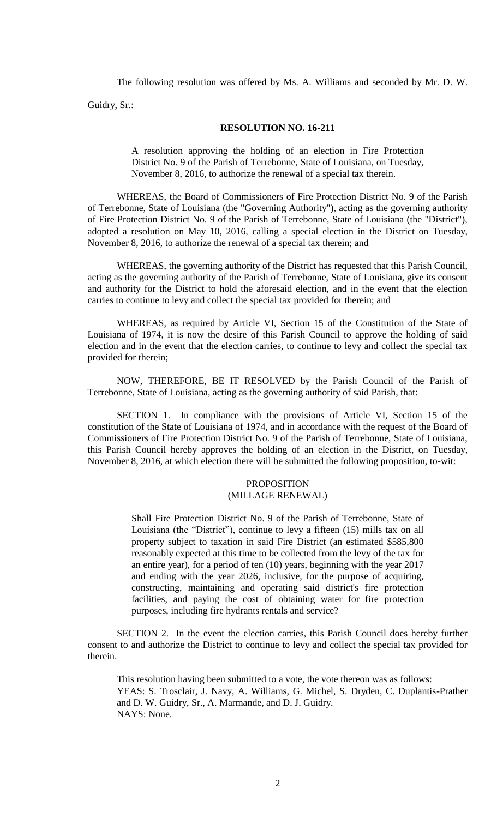The following resolution was offered by Ms. A. Williams and seconded by Mr. D. W.

Guidry, Sr.:

### **RESOLUTION NO. 16-211**

A resolution approving the holding of an election in Fire Protection District No. 9 of the Parish of Terrebonne, State of Louisiana, on Tuesday, November 8, 2016, to authorize the renewal of a special tax therein.

WHEREAS, the Board of Commissioners of Fire Protection District No. 9 of the Parish of Terrebonne, State of Louisiana (the "Governing Authority"), acting as the governing authority of Fire Protection District No. 9 of the Parish of Terrebonne, State of Louisiana (the "District"), adopted a resolution on May 10, 2016, calling a special election in the District on Tuesday, November 8, 2016, to authorize the renewal of a special tax therein; and

WHEREAS, the governing authority of the District has requested that this Parish Council, acting as the governing authority of the Parish of Terrebonne, State of Louisiana, give its consent and authority for the District to hold the aforesaid election, and in the event that the election carries to continue to levy and collect the special tax provided for therein; and

WHEREAS, as required by Article VI, Section 15 of the Constitution of the State of Louisiana of 1974, it is now the desire of this Parish Council to approve the holding of said election and in the event that the election carries, to continue to levy and collect the special tax provided for therein;

NOW, THEREFORE, BE IT RESOLVED by the Parish Council of the Parish of Terrebonne, State of Louisiana, acting as the governing authority of said Parish, that:

SECTION 1. In compliance with the provisions of Article VI, Section 15 of the constitution of the State of Louisiana of 1974, and in accordance with the request of the Board of Commissioners of Fire Protection District No. 9 of the Parish of Terrebonne, State of Louisiana, this Parish Council hereby approves the holding of an election in the District, on Tuesday, November 8, 2016, at which election there will be submitted the following proposition, to-wit:

## PROPOSITION (MILLAGE RENEWAL)

Shall Fire Protection District No. 9 of the Parish of Terrebonne, State of Louisiana (the "District"), continue to levy a fifteen (15) mills tax on all property subject to taxation in said Fire District (an estimated \$585,800 reasonably expected at this time to be collected from the levy of the tax for an entire year), for a period of ten (10) years, beginning with the year 2017 and ending with the year 2026, inclusive, for the purpose of acquiring, constructing, maintaining and operating said district's fire protection facilities, and paying the cost of obtaining water for fire protection purposes, including fire hydrants rentals and service?

SECTION 2. In the event the election carries, this Parish Council does hereby further consent to and authorize the District to continue to levy and collect the special tax provided for therein.

This resolution having been submitted to a vote, the vote thereon was as follows: YEAS: S. Trosclair, J. Navy, A. Williams, G. Michel, S. Dryden, C. Duplantis-Prather and D. W. Guidry, Sr., A. Marmande, and D. J. Guidry. NAYS: None.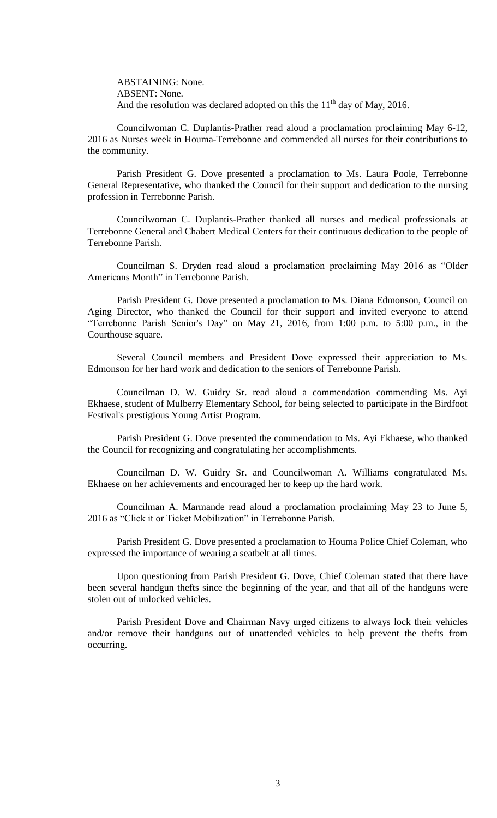ABSTAINING: None. ABSENT: None. And the resolution was declared adopted on this the  $11<sup>th</sup>$  day of May, 2016.

Councilwoman C. Duplantis-Prather read aloud a proclamation proclaiming May 6-12, 2016 as Nurses week in Houma-Terrebonne and commended all nurses for their contributions to the community.

Parish President G. Dove presented a proclamation to Ms. Laura Poole, Terrebonne General Representative, who thanked the Council for their support and dedication to the nursing profession in Terrebonne Parish.

Councilwoman C. Duplantis-Prather thanked all nurses and medical professionals at Terrebonne General and Chabert Medical Centers for their continuous dedication to the people of Terrebonne Parish.

Councilman S. Dryden read aloud a proclamation proclaiming May 2016 as "Older Americans Month" in Terrebonne Parish.

Parish President G. Dove presented a proclamation to Ms. Diana Edmonson, Council on Aging Director, who thanked the Council for their support and invited everyone to attend "Terrebonne Parish Senior's Day" on May 21, 2016, from 1:00 p.m. to 5:00 p.m., in the Courthouse square.

Several Council members and President Dove expressed their appreciation to Ms. Edmonson for her hard work and dedication to the seniors of Terrebonne Parish.

Councilman D. W. Guidry Sr. read aloud a commendation commending Ms. Ayi Ekhaese, student of Mulberry Elementary School, for being selected to participate in the Birdfoot Festival's prestigious Young Artist Program.

Parish President G. Dove presented the commendation to Ms. Ayi Ekhaese, who thanked the Council for recognizing and congratulating her accomplishments.

Councilman D. W. Guidry Sr. and Councilwoman A. Williams congratulated Ms. Ekhaese on her achievements and encouraged her to keep up the hard work.

Councilman A. Marmande read aloud a proclamation proclaiming May 23 to June 5, 2016 as "Click it or Ticket Mobilization" in Terrebonne Parish.

Parish President G. Dove presented a proclamation to Houma Police Chief Coleman, who expressed the importance of wearing a seatbelt at all times.

Upon questioning from Parish President G. Dove, Chief Coleman stated that there have been several handgun thefts since the beginning of the year, and that all of the handguns were stolen out of unlocked vehicles.

Parish President Dove and Chairman Navy urged citizens to always lock their vehicles and/or remove their handguns out of unattended vehicles to help prevent the thefts from occurring.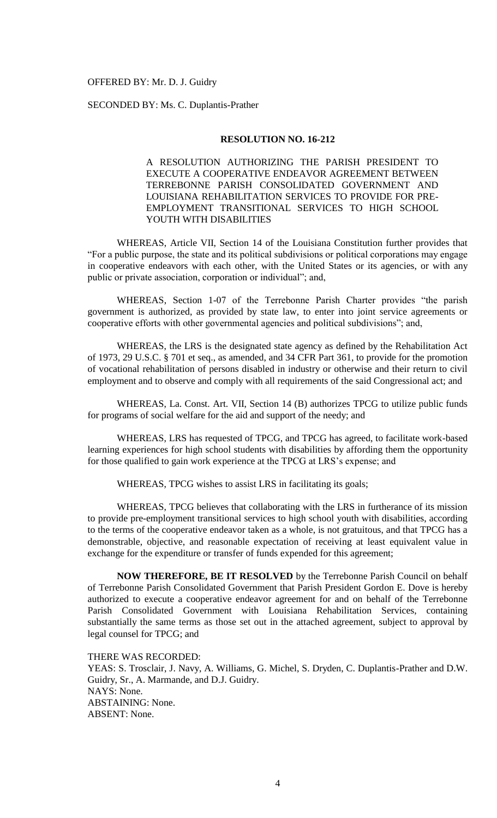### OFFERED BY: Mr. D. J. Guidry

# SECONDED BY: Ms. C. Duplantis-Prather

### **RESOLUTION NO. 16-212**

A RESOLUTION AUTHORIZING THE PARISH PRESIDENT TO EXECUTE A COOPERATIVE ENDEAVOR AGREEMENT BETWEEN TERREBONNE PARISH CONSOLIDATED GOVERNMENT AND LOUISIANA REHABILITATION SERVICES TO PROVIDE FOR PRE-EMPLOYMENT TRANSITIONAL SERVICES TO HIGH SCHOOL YOUTH WITH DISABILITIES

WHEREAS, Article VII, Section 14 of the Louisiana Constitution further provides that "For a public purpose, the state and its political subdivisions or political corporations may engage in cooperative endeavors with each other, with the United States or its agencies, or with any public or private association, corporation or individual"; and,

WHEREAS, Section 1-07 of the Terrebonne Parish Charter provides "the parish government is authorized, as provided by state law, to enter into joint service agreements or cooperative efforts with other governmental agencies and political subdivisions"; and,

WHEREAS, the LRS is the designated state agency as defined by the Rehabilitation Act of 1973, [29 U.S.C. § 701 et seq.,](https://1.next.westlaw.com/Link/Document/FullText?findType=L&pubNum=1000546&cite=29USCAS701&originatingDoc=N2FF8F8902E4E11E4BD79F7E66D94E929&refType=LQ&originationContext=document&transitionType=DocumentItem&contextData=(sc.Document)) as amended, and 34 CFR Part 361, to provide for the promotion of vocational rehabilitation of persons disabled in industry or otherwise and their return to civil employment and to observe and comply with all requirements of the said Congressional act; and

WHEREAS, La. Const. Art. VII, Section 14 (B) authorizes TPCG to utilize public funds for programs of social welfare for the aid and support of the needy; and

WHEREAS, LRS has requested of TPCG, and TPCG has agreed, to facilitate work-based learning experiences for high school students with disabilities by affording them the opportunity for those qualified to gain work experience at the TPCG at LRS's expense; and

WHEREAS, TPCG wishes to assist LRS in facilitating its goals;

WHEREAS, TPCG believes that collaborating with the LRS in furtherance of its mission to provide pre-employment transitional services to high school youth with disabilities, according to the terms of the cooperative endeavor taken as a whole, is not gratuitous, and that TPCG has a demonstrable, objective, and reasonable expectation of receiving at least equivalent value in exchange for the expenditure or transfer of funds expended for this agreement;

**NOW THEREFORE, BE IT RESOLVED** by the Terrebonne Parish Council on behalf of Terrebonne Parish Consolidated Government that Parish President Gordon E. Dove is hereby authorized to execute a cooperative endeavor agreement for and on behalf of the Terrebonne Parish Consolidated Government with Louisiana Rehabilitation Services, containing substantially the same terms as those set out in the attached agreement, subject to approval by legal counsel for TPCG; and

## THERE WAS RECORDED:

YEAS: S. Trosclair, J. Navy, A. Williams, G. Michel, S. Dryden, C. Duplantis-Prather and D.W. Guidry, Sr., A. Marmande, and D.J. Guidry. NAYS: None. ABSTAINING: None. ABSENT: None.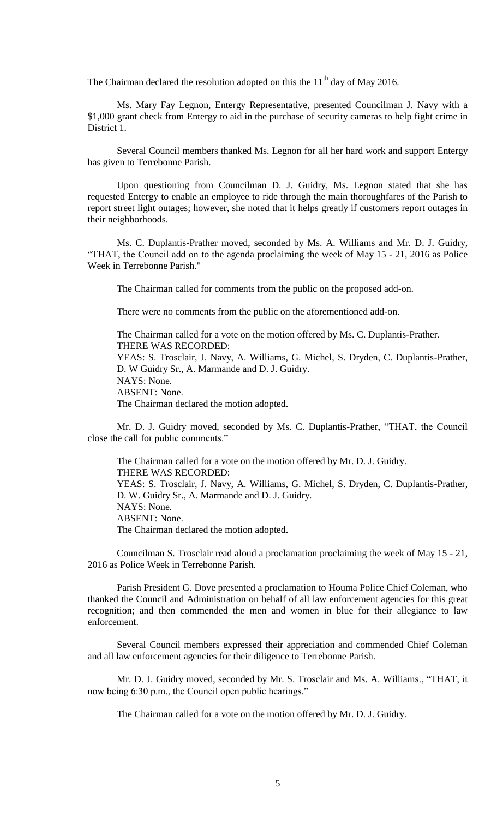The Chairman declared the resolution adopted on this the  $11<sup>th</sup>$  day of May 2016.

Ms. Mary Fay Legnon, Entergy Representative, presented Councilman J. Navy with a \$1,000 grant check from Entergy to aid in the purchase of security cameras to help fight crime in District 1.

Several Council members thanked Ms. Legnon for all her hard work and support Entergy has given to Terrebonne Parish.

Upon questioning from Councilman D. J. Guidry, Ms. Legnon stated that she has requested Entergy to enable an employee to ride through the main thoroughfares of the Parish to report street light outages; however, she noted that it helps greatly if customers report outages in their neighborhoods.

Ms. C. Duplantis-Prather moved, seconded by Ms. A. Williams and Mr. D. J. Guidry, "THAT, the Council add on to the agenda proclaiming the week of May 15 - 21, 2016 as Police Week in Terrebonne Parish."

The Chairman called for comments from the public on the proposed add-on.

There were no comments from the public on the aforementioned add-on.

The Chairman called for a vote on the motion offered by Ms. C. Duplantis-Prather. THERE WAS RECORDED: YEAS: S. Trosclair, J. Navy, A. Williams, G. Michel, S. Dryden, C. Duplantis-Prather, D. W Guidry Sr., A. Marmande and D. J. Guidry. NAYS: None. ABSENT: None. The Chairman declared the motion adopted.

Mr. D. J. Guidry moved, seconded by Ms. C. Duplantis-Prather, "THAT, the Council close the call for public comments."

The Chairman called for a vote on the motion offered by Mr. D. J. Guidry. THERE WAS RECORDED: YEAS: S. Trosclair, J. Navy, A. Williams, G. Michel, S. Dryden, C. Duplantis-Prather, D. W. Guidry Sr., A. Marmande and D. J. Guidry. NAYS: None. ABSENT: None. The Chairman declared the motion adopted.

Councilman S. Trosclair read aloud a proclamation proclaiming the week of May 15 - 21, 2016 as Police Week in Terrebonne Parish.

Parish President G. Dove presented a proclamation to Houma Police Chief Coleman, who thanked the Council and Administration on behalf of all law enforcement agencies for this great recognition; and then commended the men and women in blue for their allegiance to law enforcement.

Several Council members expressed their appreciation and commended Chief Coleman and all law enforcement agencies for their diligence to Terrebonne Parish.

Mr. D. J. Guidry moved, seconded by Mr. S. Trosclair and Ms. A. Williams., "THAT, it now being 6:30 p.m., the Council open public hearings."

The Chairman called for a vote on the motion offered by Mr. D. J. Guidry.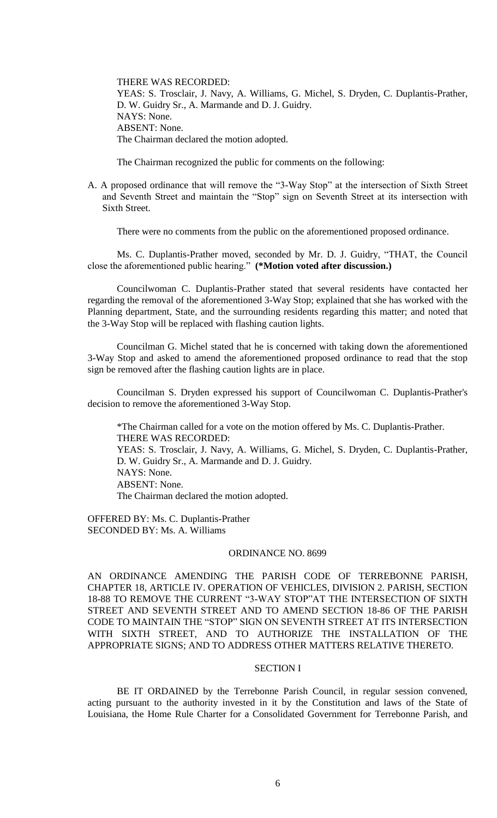THERE WAS RECORDED: YEAS: S. Trosclair, J. Navy, A. Williams, G. Michel, S. Dryden, C. Duplantis-Prather, D. W. Guidry Sr., A. Marmande and D. J. Guidry. NAYS: None. ABSENT: None. The Chairman declared the motion adopted.

The Chairman recognized the public for comments on the following:

A. A proposed ordinance that will remove the "3-Way Stop" at the intersection of Sixth Street and Seventh Street and maintain the "Stop" sign on Seventh Street at its intersection with Sixth Street.

There were no comments from the public on the aforementioned proposed ordinance.

Ms. C. Duplantis-Prather moved, seconded by Mr. D. J. Guidry, "THAT, the Council close the aforementioned public hearing." **(\*Motion voted after discussion.)**

Councilwoman C. Duplantis-Prather stated that several residents have contacted her regarding the removal of the aforementioned 3-Way Stop; explained that she has worked with the Planning department, State, and the surrounding residents regarding this matter; and noted that the 3-Way Stop will be replaced with flashing caution lights.

Councilman G. Michel stated that he is concerned with taking down the aforementioned 3-Way Stop and asked to amend the aforementioned proposed ordinance to read that the stop sign be removed after the flashing caution lights are in place.

Councilman S. Dryden expressed his support of Councilwoman C. Duplantis-Prather's decision to remove the aforementioned 3-Way Stop.

\*The Chairman called for a vote on the motion offered by Ms. C. Duplantis-Prather. THERE WAS RECORDED: YEAS: S. Trosclair, J. Navy, A. Williams, G. Michel, S. Dryden, C. Duplantis-Prather, D. W. Guidry Sr., A. Marmande and D. J. Guidry. NAYS: None. ABSENT: None. The Chairman declared the motion adopted.

OFFERED BY: Ms. C. Duplantis-Prather SECONDED BY: Ms. A. Williams

#### ORDINANCE NO. 8699

AN ORDINANCE AMENDING THE PARISH CODE OF TERREBONNE PARISH, CHAPTER 18, ARTICLE IV. OPERATION OF VEHICLES, DIVISION 2. PARISH, SECTION 18-88 TO REMOVE THE CURRENT "3-WAY STOP"AT THE INTERSECTION OF SIXTH STREET AND SEVENTH STREET AND TO AMEND SECTION 18-86 OF THE PARISH CODE TO MAINTAIN THE "STOP" SIGN ON SEVENTH STREET AT ITS INTERSECTION WITH SIXTH STREET, AND TO AUTHORIZE THE INSTALLATION OF THE APPROPRIATE SIGNS; AND TO ADDRESS OTHER MATTERS RELATIVE THERETO.

## SECTION I

BE IT ORDAINED by the Terrebonne Parish Council, in regular session convened, acting pursuant to the authority invested in it by the Constitution and laws of the State of Louisiana, the Home Rule Charter for a Consolidated Government for Terrebonne Parish, and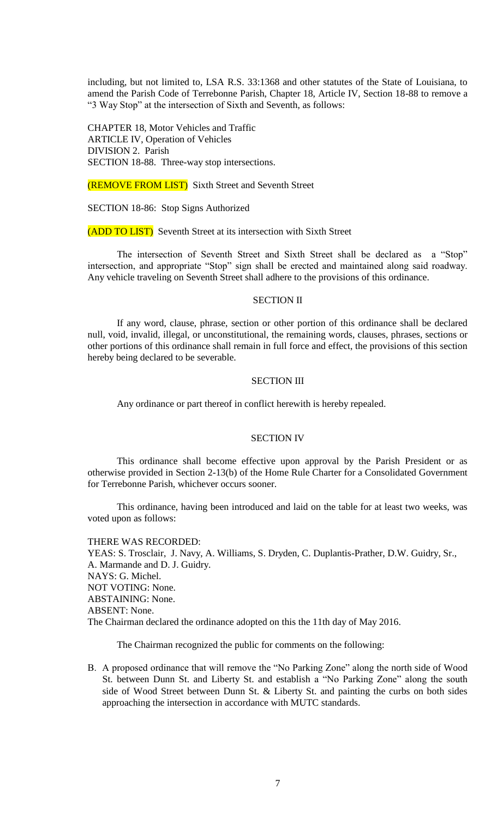including, but not limited to, LSA R.S. 33:1368 and other statutes of the State of Louisiana, to amend the Parish Code of Terrebonne Parish, Chapter 18, Article IV, Section 18-88 to remove a "3 Way Stop" at the intersection of Sixth and Seventh, as follows:

CHAPTER 18, Motor Vehicles and Traffic ARTICLE IV, Operation of Vehicles DIVISION 2. Parish SECTION 18-88. Three-way stop intersections.

(REMOVE FROM LIST) Sixth Street and Seventh Street

SECTION 18-86: Stop Signs Authorized

(ADD TO LIST) Seventh Street at its intersection with Sixth Street

The intersection of Seventh Street and Sixth Street shall be declared as a "Stop" intersection, and appropriate "Stop" sign shall be erected and maintained along said roadway. Any vehicle traveling on Seventh Street shall adhere to the provisions of this ordinance.

## SECTION II

If any word, clause, phrase, section or other portion of this ordinance shall be declared null, void, invalid, illegal, or unconstitutional, the remaining words, clauses, phrases, sections or other portions of this ordinance shall remain in full force and effect, the provisions of this section hereby being declared to be severable.

## SECTION III

Any ordinance or part thereof in conflict herewith is hereby repealed.

## SECTION IV

This ordinance shall become effective upon approval by the Parish President or as otherwise provided in Section 2-13(b) of the Home Rule Charter for a Consolidated Government for Terrebonne Parish, whichever occurs sooner.

This ordinance, having been introduced and laid on the table for at least two weeks, was voted upon as follows:

THERE WAS RECORDED: YEAS: S. Trosclair, J. Navy, A. Williams, S. Dryden, C. Duplantis-Prather, D.W. Guidry, Sr., A. Marmande and D. J. Guidry. NAYS: G. Michel. NOT VOTING: None. ABSTAINING: None. ABSENT: None. The Chairman declared the ordinance adopted on this the 11th day of May 2016.

The Chairman recognized the public for comments on the following:

B. A proposed ordinance that will remove the "No Parking Zone" along the north side of Wood St. between Dunn St. and Liberty St. and establish a "No Parking Zone" along the south side of Wood Street between Dunn St. & Liberty St. and painting the curbs on both sides approaching the intersection in accordance with MUTC standards.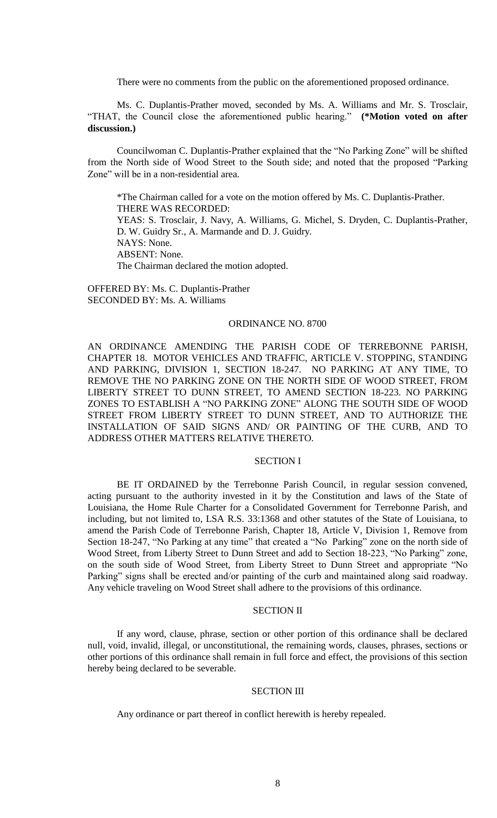There were no comments from the public on the aforementioned proposed ordinance.

Ms. C. Duplantis-Prather moved, seconded by Ms. A. Williams and Mr. S. Trosclair, "THAT, the Council close the aforementioned public hearing." **(\*Motion voted on after discussion.)**

Councilwoman C. Duplantis-Prather explained that the "No Parking Zone" will be shifted from the North side of Wood Street to the South side; and noted that the proposed "Parking Zone" will be in a non-residential area.

\*The Chairman called for a vote on the motion offered by Ms. C. Duplantis-Prather. THERE WAS RECORDED: YEAS: S. Trosclair, J. Navy, A. Williams, G. Michel, S. Dryden, C. Duplantis-Prather, D. W. Guidry Sr., A. Marmande and D. J. Guidry. NAYS: None. ABSENT: None. The Chairman declared the motion adopted.

OFFERED BY: Ms. C. Duplantis-Prather SECONDED BY: Ms. A. Williams

### ORDINANCE NO. 8700

AN ORDINANCE AMENDING THE PARISH CODE OF TERREBONNE PARISH, CHAPTER 18. MOTOR VEHICLES AND TRAFFIC, ARTICLE V. STOPPING, STANDING AND PARKING, DIVISION 1, SECTION 18-247. NO PARKING AT ANY TIME, TO REMOVE THE NO PARKING ZONE ON THE NORTH SIDE OF WOOD STREET, FROM LIBERTY STREET TO DUNN STREET, TO AMEND SECTION 18-223. NO PARKING ZONES TO ESTABLISH A "NO PARKING ZONE" ALONG THE SOUTH SIDE OF WOOD STREET FROM LIBERTY STREET TO DUNN STREET, AND TO AUTHORIZE THE INSTALLATION OF SAID SIGNS AND/ OR PAINTING OF THE CURB, AND TO ADDRESS OTHER MATTERS RELATIVE THERETO.

### SECTION I

BE IT ORDAINED by the Terrebonne Parish Council, in regular session convened, acting pursuant to the authority invested in it by the Constitution and laws of the State of Louisiana, the Home Rule Charter for a Consolidated Government for Terrebonne Parish, and including, but not limited to, LSA R.S. 33:1368 and other statutes of the State of Louisiana, to amend the Parish Code of Terrebonne Parish, Chapter 18, Article V, Division 1, Remove from Section 18-247, "No Parking at any time" that created a "No Parking" zone on the north side of Wood Street, from Liberty Street to Dunn Street and add to Section 18-223, "No Parking" zone, on the south side of Wood Street, from Liberty Street to Dunn Street and appropriate "No Parking" signs shall be erected and/or painting of the curb and maintained along said roadway. Any vehicle traveling on Wood Street shall adhere to the provisions of this ordinance.

## SECTION II

If any word, clause, phrase, section or other portion of this ordinance shall be declared null, void, invalid, illegal, or unconstitutional, the remaining words, clauses, phrases, sections or other portions of this ordinance shall remain in full force and effect, the provisions of this section hereby being declared to be severable.

# SECTION III

Any ordinance or part thereof in conflict herewith is hereby repealed.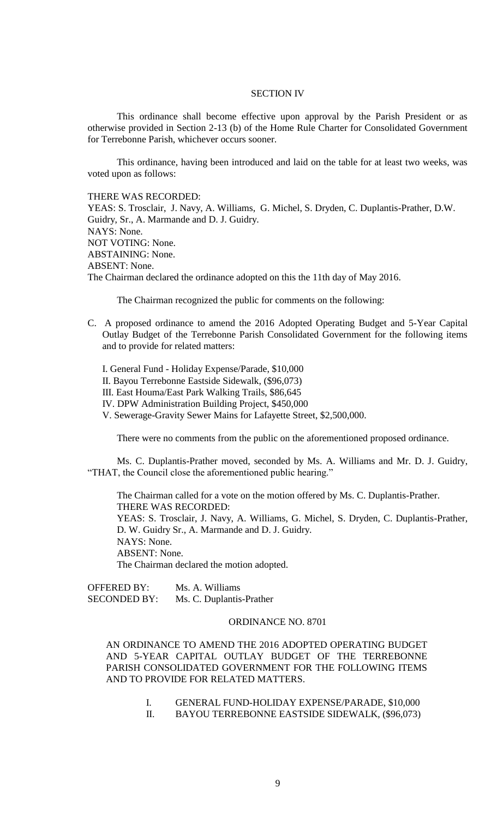## SECTION IV

This ordinance shall become effective upon approval by the Parish President or as otherwise provided in Section 2-13 (b) of the Home Rule Charter for Consolidated Government for Terrebonne Parish, whichever occurs sooner.

This ordinance, having been introduced and laid on the table for at least two weeks, was voted upon as follows:

### THERE WAS RECORDED:

YEAS: S. Trosclair, J. Navy, A. Williams, G. Michel, S. Dryden, C. Duplantis-Prather, D.W. Guidry, Sr., A. Marmande and D. J. Guidry. NAYS: None. NOT VOTING: None. ABSTAINING: None. ABSENT: None. The Chairman declared the ordinance adopted on this the 11th day of May 2016.

The Chairman recognized the public for comments on the following:

- C. A proposed ordinance to amend the 2016 Adopted Operating Budget and 5-Year Capital Outlay Budget of the Terrebonne Parish Consolidated Government for the following items and to provide for related matters:
	- I. General Fund Holiday Expense/Parade, \$10,000 II. Bayou Terrebonne Eastside Sidewalk, (\$96,073) III. East Houma/East Park Walking Trails, \$86,645 IV. DPW Administration Building Project, \$450,000 V. Sewerage-Gravity Sewer Mains for Lafayette Street, \$2,500,000.

There were no comments from the public on the aforementioned proposed ordinance.

Ms. C. Duplantis-Prather moved, seconded by Ms. A. Williams and Mr. D. J. Guidry, "THAT, the Council close the aforementioned public hearing."

The Chairman called for a vote on the motion offered by Ms. C. Duplantis-Prather. THERE WAS RECORDED: YEAS: S. Trosclair, J. Navy, A. Williams, G. Michel, S. Dryden, C. Duplantis-Prather, D. W. Guidry Sr., A. Marmande and D. J. Guidry. NAYS: None. ABSENT: None. The Chairman declared the motion adopted.

OFFERED BY: Ms. A. Williams SECONDED BY: Ms. C. Duplantis-Prather

## ORDINANCE NO. 8701

AN ORDINANCE TO AMEND THE 2016 ADOPTED OPERATING BUDGET AND 5-YEAR CAPITAL OUTLAY BUDGET OF THE TERREBONNE PARISH CONSOLIDATED GOVERNMENT FOR THE FOLLOWING ITEMS AND TO PROVIDE FOR RELATED MATTERS.

- I. GENERAL FUND-HOLIDAY EXPENSE/PARADE, \$10,000
- II. BAYOU TERREBONNE EASTSIDE SIDEWALK, (\$96,073)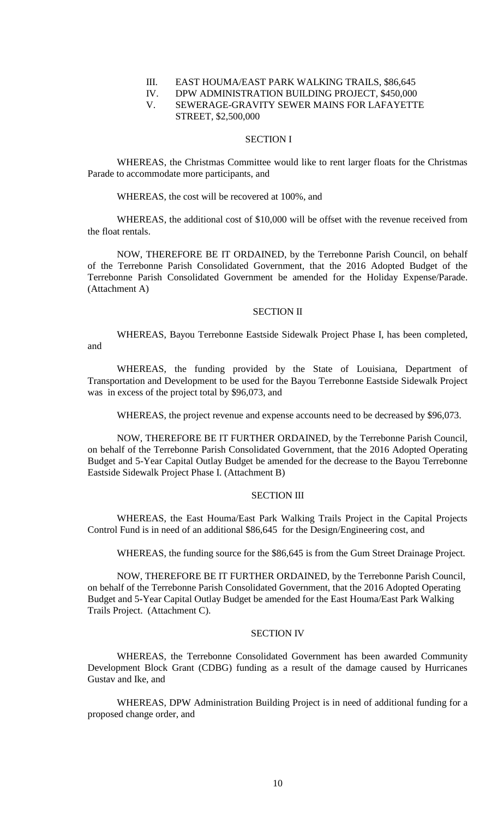### III. EAST HOUMA/EAST PARK WALKING TRAILS, \$86,645

# IV. DPW ADMINISTRATION BUILDING PROJECT, \$450,000

# V. SEWERAGE-GRAVITY SEWER MAINS FOR LAFAYETTE STREET, \$2,500,000

## SECTION I

WHEREAS, the Christmas Committee would like to rent larger floats for the Christmas Parade to accommodate more participants, and

### WHEREAS, the cost will be recovered at 100%, and

WHEREAS, the additional cost of \$10,000 will be offset with the revenue received from the float rentals.

NOW, THEREFORE BE IT ORDAINED, by the Terrebonne Parish Council, on behalf of the Terrebonne Parish Consolidated Government, that the 2016 Adopted Budget of the Terrebonne Parish Consolidated Government be amended for the Holiday Expense/Parade. (Attachment A)

### SECTION II

WHEREAS, Bayou Terrebonne Eastside Sidewalk Project Phase I, has been completed,

and

WHEREAS, the funding provided by the State of Louisiana, Department of Transportation and Development to be used for the Bayou Terrebonne Eastside Sidewalk Project was in excess of the project total by \$96,073, and

WHEREAS, the project revenue and expense accounts need to be decreased by \$96,073.

NOW, THEREFORE BE IT FURTHER ORDAINED, by the Terrebonne Parish Council, on behalf of the Terrebonne Parish Consolidated Government, that the 2016 Adopted Operating Budget and 5-Year Capital Outlay Budget be amended for the decrease to the Bayou Terrebonne Eastside Sidewalk Project Phase I. (Attachment B)

### SECTION III

WHEREAS, the East Houma/East Park Walking Trails Project in the Capital Projects Control Fund is in need of an additional \$86,645 for the Design/Engineering cost, and

WHEREAS, the funding source for the \$86,645 is from the Gum Street Drainage Project.

NOW, THEREFORE BE IT FURTHER ORDAINED, by the Terrebonne Parish Council, on behalf of the Terrebonne Parish Consolidated Government, that the 2016 Adopted Operating Budget and 5-Year Capital Outlay Budget be amended for the East Houma/East Park Walking Trails Project. (Attachment C).

# SECTION IV

WHEREAS, the Terrebonne Consolidated Government has been awarded Community Development Block Grant (CDBG) funding as a result of the damage caused by Hurricanes Gustav and Ike, and

WHEREAS, DPW Administration Building Project is in need of additional funding for a proposed change order, and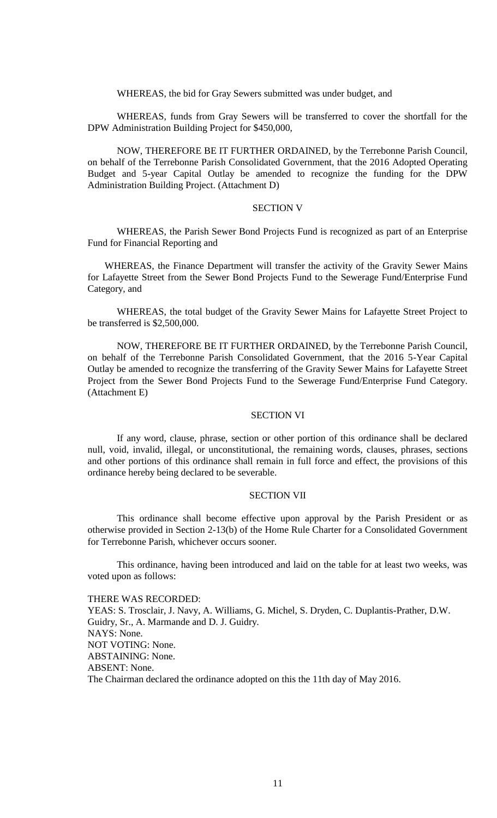WHEREAS, the bid for Gray Sewers submitted was under budget, and

WHEREAS, funds from Gray Sewers will be transferred to cover the shortfall for the DPW Administration Building Project for \$450,000,

NOW, THEREFORE BE IT FURTHER ORDAINED, by the Terrebonne Parish Council, on behalf of the Terrebonne Parish Consolidated Government, that the 2016 Adopted Operating Budget and 5-year Capital Outlay be amended to recognize the funding for the DPW Administration Building Project. (Attachment D)

#### SECTION V

WHEREAS, the Parish Sewer Bond Projects Fund is recognized as part of an Enterprise Fund for Financial Reporting and

WHEREAS, the Finance Department will transfer the activity of the Gravity Sewer Mains for Lafayette Street from the Sewer Bond Projects Fund to the Sewerage Fund/Enterprise Fund Category, and

WHEREAS, the total budget of the Gravity Sewer Mains for Lafayette Street Project to be transferred is \$2,500,000.

NOW, THEREFORE BE IT FURTHER ORDAINED, by the Terrebonne Parish Council, on behalf of the Terrebonne Parish Consolidated Government, that the 2016 5-Year Capital Outlay be amended to recognize the transferring of the Gravity Sewer Mains for Lafayette Street Project from the Sewer Bond Projects Fund to the Sewerage Fund/Enterprise Fund Category. (Attachment E)

## SECTION VI

If any word, clause, phrase, section or other portion of this ordinance shall be declared null, void, invalid, illegal, or unconstitutional, the remaining words, clauses, phrases, sections and other portions of this ordinance shall remain in full force and effect, the provisions of this ordinance hereby being declared to be severable.

### SECTION VII

This ordinance shall become effective upon approval by the Parish President or as otherwise provided in Section 2-13(b) of the Home Rule Charter for a Consolidated Government for Terrebonne Parish, whichever occurs sooner.

This ordinance, having been introduced and laid on the table for at least two weeks, was voted upon as follows:

THERE WAS RECORDED: YEAS: S. Trosclair, J. Navy, A. Williams, G. Michel, S. Dryden, C. Duplantis-Prather, D.W. Guidry, Sr., A. Marmande and D. J. Guidry. NAYS: None. NOT VOTING: None. ABSTAINING: None. ABSENT: None. The Chairman declared the ordinance adopted on this the 11th day of May 2016.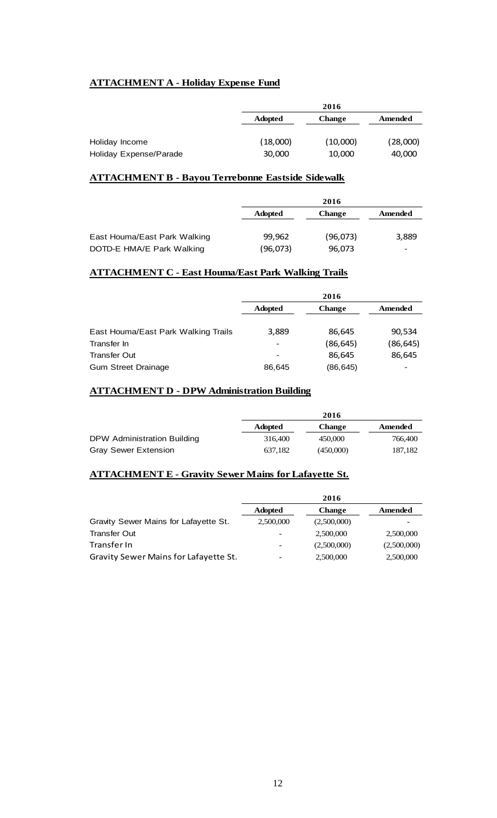# **ATTACHMENT A - Holiday Expense Fund**

|                        |                | 2016          |          |  |
|------------------------|----------------|---------------|----------|--|
|                        | <b>Adopted</b> | <b>Change</b> | Amended  |  |
| Holiday Income         | (18,000)       | (10,000)      | (28,000) |  |
| Holiday Expense/Parade | 30,000         | 10,000        | 40,000   |  |

# **ATTACHMENT B - Bayou Terrebonne Eastside Sidewalk**

|                              | 2016           |               |         |
|------------------------------|----------------|---------------|---------|
|                              | <b>Adopted</b> | <b>Change</b> | Amended |
|                              |                |               |         |
| East Houma/East Park Walking | 99,962         | (96,073)      | 3,889   |
| DOTD-E HMA/E Park Walking    | (96,073)       | 96,073        |         |

# **ATTACHMENT C - East Houma/East Park Walking Trails**

|                                     | 2016           |               |           |
|-------------------------------------|----------------|---------------|-----------|
|                                     | <b>Adopted</b> | <b>Change</b> | Amended   |
|                                     |                |               |           |
| East Houma/East Park Walking Trails | 3,889          | 86,645        | 90,534    |
| Transfer In                         |                | (86, 645)     | (86, 645) |
| <b>Transfer Out</b>                 | -              | 86,645        | 86,645    |
| <b>Gum Street Drainage</b>          | 86,645         | (86, 645)     |           |

# **ATTACHMENT D - DPW Administration Building**

|                             |                | 2016          |         |
|-----------------------------|----------------|---------------|---------|
|                             | <b>Adopted</b> | <b>Change</b> | Amended |
| DPW Administration Building | 316,400        | 450,000       | 766,400 |
| <b>Gray Sewer Extension</b> | 637.182        | (450,000)     | 187,182 |

# **ATTACHMENT E - Gravity Sewer Mains for Lafayette St.**

|                                       | 2016           |               |             |
|---------------------------------------|----------------|---------------|-------------|
|                                       | <b>Adopted</b> | <b>Change</b> | Amended     |
| Gravity Sewer Mains for Lafayette St. | 2,500,000      | (2,500,000)   |             |
| <b>Transfer Out</b>                   |                | 2,500,000     | 2,500,000   |
| Transfer In                           |                | (2,500,000)   | (2,500,000) |
| Gravity Sewer Mains for Lafayette St. |                | 2,500,000     | 2,500,000   |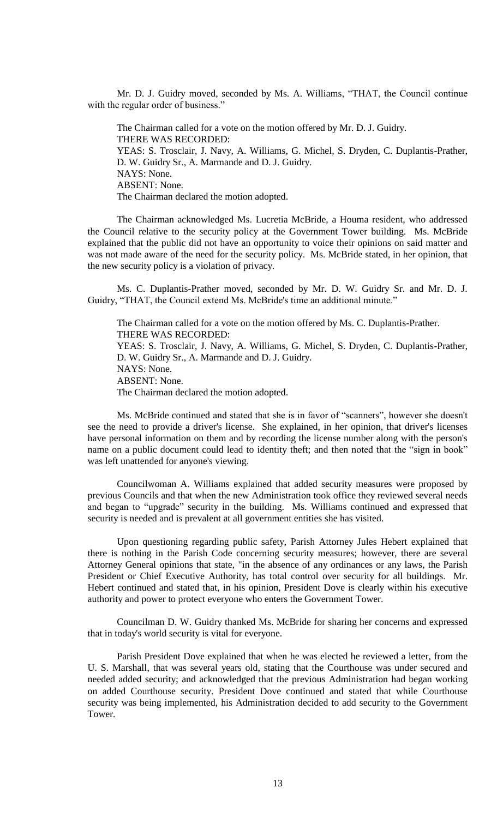Mr. D. J. Guidry moved, seconded by Ms. A. Williams, "THAT, the Council continue with the regular order of business."

The Chairman called for a vote on the motion offered by Mr. D. J. Guidry. THERE WAS RECORDED: YEAS: S. Trosclair, J. Navy, A. Williams, G. Michel, S. Dryden, C. Duplantis-Prather, D. W. Guidry Sr., A. Marmande and D. J. Guidry. NAYS: None. ABSENT: None. The Chairman declared the motion adopted.

The Chairman acknowledged Ms. Lucretia McBride, a Houma resident, who addressed the Council relative to the security policy at the Government Tower building. Ms. McBride explained that the public did not have an opportunity to voice their opinions on said matter and was not made aware of the need for the security policy. Ms. McBride stated, in her opinion, that the new security policy is a violation of privacy.

Ms. C. Duplantis-Prather moved, seconded by Mr. D. W. Guidry Sr. and Mr. D. J. Guidry, "THAT, the Council extend Ms. McBride's time an additional minute."

The Chairman called for a vote on the motion offered by Ms. C. Duplantis-Prather. THERE WAS RECORDED: YEAS: S. Trosclair, J. Navy, A. Williams, G. Michel, S. Dryden, C. Duplantis-Prather, D. W. Guidry Sr., A. Marmande and D. J. Guidry. NAYS: None. ABSENT: None. The Chairman declared the motion adopted.

Ms. McBride continued and stated that she is in favor of "scanners", however she doesn't see the need to provide a driver's license. She explained, in her opinion, that driver's licenses have personal information on them and by recording the license number along with the person's name on a public document could lead to identity theft; and then noted that the "sign in book" was left unattended for anyone's viewing.

Councilwoman A. Williams explained that added security measures were proposed by previous Councils and that when the new Administration took office they reviewed several needs and began to "upgrade" security in the building. Ms. Williams continued and expressed that security is needed and is prevalent at all government entities she has visited.

Upon questioning regarding public safety, Parish Attorney Jules Hebert explained that there is nothing in the Parish Code concerning security measures; however, there are several Attorney General opinions that state, "in the absence of any ordinances or any laws, the Parish President or Chief Executive Authority, has total control over security for all buildings. Mr. Hebert continued and stated that, in his opinion, President Dove is clearly within his executive authority and power to protect everyone who enters the Government Tower.

Councilman D. W. Guidry thanked Ms. McBride for sharing her concerns and expressed that in today's world security is vital for everyone.

Parish President Dove explained that when he was elected he reviewed a letter, from the U. S. Marshall, that was several years old, stating that the Courthouse was under secured and needed added security; and acknowledged that the previous Administration had began working on added Courthouse security. President Dove continued and stated that while Courthouse security was being implemented, his Administration decided to add security to the Government Tower.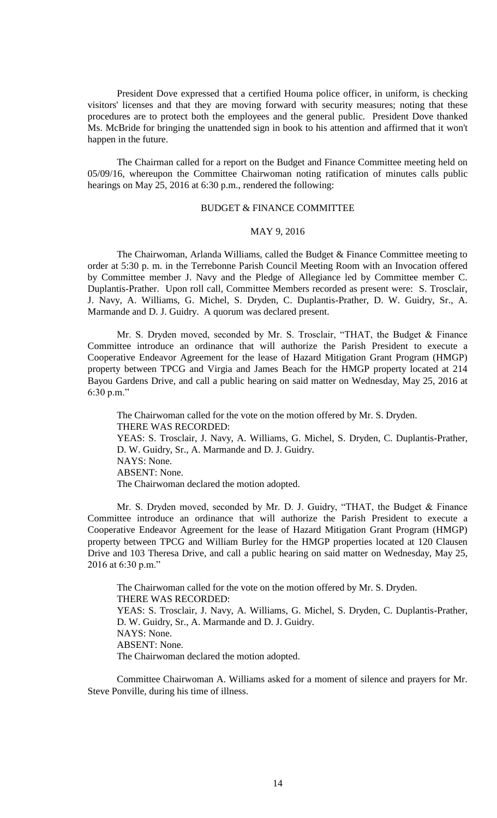President Dove expressed that a certified Houma police officer, in uniform, is checking visitors' licenses and that they are moving forward with security measures; noting that these procedures are to protect both the employees and the general public. President Dove thanked Ms. McBride for bringing the unattended sign in book to his attention and affirmed that it won't happen in the future.

The Chairman called for a report on the Budget and Finance Committee meeting held on 05/09/16, whereupon the Committee Chairwoman noting ratification of minutes calls public hearings on May 25, 2016 at 6:30 p.m., rendered the following:

# BUDGET & FINANCE COMMITTEE

## MAY 9, 2016

The Chairwoman, Arlanda Williams, called the Budget & Finance Committee meeting to order at 5:30 p. m. in the Terrebonne Parish Council Meeting Room with an Invocation offered by Committee member J. Navy and the Pledge of Allegiance led by Committee member C. Duplantis-Prather. Upon roll call, Committee Members recorded as present were: S. Trosclair, J. Navy, A. Williams, G. Michel, S. Dryden, C. Duplantis-Prather, D. W. Guidry, Sr., A. Marmande and D. J. Guidry. A quorum was declared present.

Mr. S. Dryden moved, seconded by Mr. S. Trosclair, "THAT, the Budget & Finance Committee introduce an ordinance that will authorize the Parish President to execute a Cooperative Endeavor Agreement for the lease of Hazard Mitigation Grant Program (HMGP) property between TPCG and Virgia and James Beach for the HMGP property located at 214 Bayou Gardens Drive, and call a public hearing on said matter on Wednesday, May 25, 2016 at 6:30 p.m."

The Chairwoman called for the vote on the motion offered by Mr. S. Dryden. THERE WAS RECORDED: YEAS: S. Trosclair, J. Navy, A. Williams, G. Michel, S. Dryden, C. Duplantis-Prather, D. W. Guidry, Sr., A. Marmande and D. J. Guidry. NAYS: None. ABSENT: None. The Chairwoman declared the motion adopted.

Mr. S. Dryden moved, seconded by Mr. D. J. Guidry, "THAT, the Budget & Finance Committee introduce an ordinance that will authorize the Parish President to execute a Cooperative Endeavor Agreement for the lease of Hazard Mitigation Grant Program (HMGP) property between TPCG and William Burley for the HMGP properties located at 120 Clausen Drive and 103 Theresa Drive, and call a public hearing on said matter on Wednesday, May 25, 2016 at 6:30 p.m."

The Chairwoman called for the vote on the motion offered by Mr. S. Dryden. THERE WAS RECORDED: YEAS: S. Trosclair, J. Navy, A. Williams, G. Michel, S. Dryden, C. Duplantis-Prather, D. W. Guidry, Sr., A. Marmande and D. J. Guidry. NAYS: None. ABSENT: None. The Chairwoman declared the motion adopted.

Committee Chairwoman A. Williams asked for a moment of silence and prayers for Mr. Steve Ponville, during his time of illness.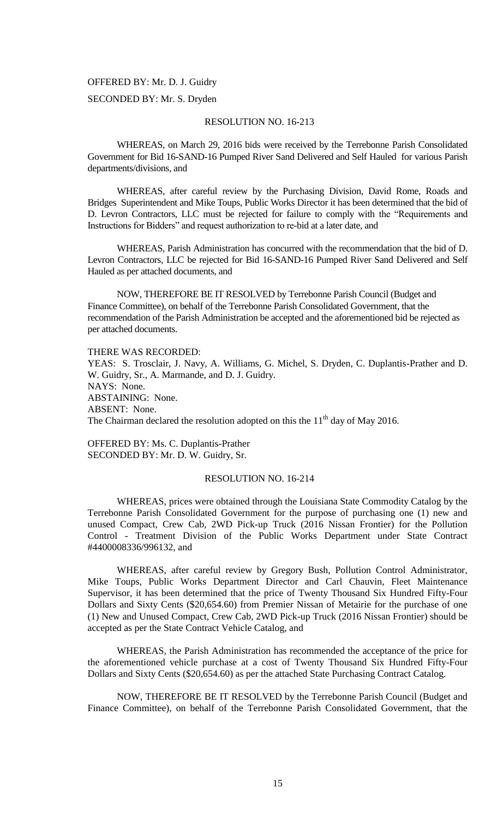# OFFERED BY: Mr. D. J. Guidry

# SECONDED BY: Mr. S. Dryden

## RESOLUTION NO. 16-213

WHEREAS, on March 29, 2016 bids were received by the Terrebonne Parish Consolidated Government for Bid 16-SAND-16 Pumped River Sand Delivered and Self Hauled for various Parish departments/divisions, and

WHEREAS, after careful review by the Purchasing Division, David Rome, Roads and Bridges Superintendent and Mike Toups, Public Works Director it has been determined that the bid of D. Levron Contractors, LLC must be rejected for failure to comply with the "Requirements and Instructions for Bidders" and request authorization to re-bid at a later date, and

WHEREAS, Parish Administration has concurred with the recommendation that the bid of D. Levron Contractors, LLC be rejected for Bid 16-SAND-16 Pumped River Sand Delivered and Self Hauled as per attached documents, and

NOW, THEREFORE BE IT RESOLVED by Terrebonne Parish Council (Budget and Finance Committee), on behalf of the Terrebonne Parish Consolidated Government, that the recommendation of the Parish Administration be accepted and the aforementioned bid be rejected as per attached documents.

THERE WAS RECORDED:

YEAS: S. Trosclair, J. Navy, A. Williams, G. Michel, S. Dryden, C. Duplantis-Prather and D. W. Guidry, Sr., A. Marmande, and D. J. Guidry. NAYS: None. ABSTAINING: None. ABSENT: None. The Chairman declared the resolution adopted on this the  $11<sup>th</sup>$  day of May 2016.

OFFERED BY: Ms. C. Duplantis-Prather SECONDED BY: Mr. D. W. Guidry, Sr.

# RESOLUTION NO. 16-214

WHEREAS, prices were obtained through the Louisiana State Commodity Catalog by the Terrebonne Parish Consolidated Government for the purpose of purchasing one (1) new and unused Compact, Crew Cab, 2WD Pick-up Truck (2016 Nissan Frontier) for the Pollution Control - Treatment Division of the Public Works Department under State Contract #4400008336/996132, and

WHEREAS, after careful review by Gregory Bush, Pollution Control Administrator, Mike Toups, Public Works Department Director and Carl Chauvin, Fleet Maintenance Supervisor, it has been determined that the price of Twenty Thousand Six Hundred Fifty-Four Dollars and Sixty Cents (\$20,654.60) from Premier Nissan of Metairie for the purchase of one (1) New and Unused Compact, Crew Cab, 2WD Pick-up Truck (2016 Nissan Frontier) should be accepted as per the State Contract Vehicle Catalog, and

WHEREAS, the Parish Administration has recommended the acceptance of the price for the aforementioned vehicle purchase at a cost of Twenty Thousand Six Hundred Fifty-Four Dollars and Sixty Cents (\$20,654.60) as per the attached State Purchasing Contract Catalog.

NOW, THEREFORE BE IT RESOLVED by the Terrebonne Parish Council (Budget and Finance Committee), on behalf of the Terrebonne Parish Consolidated Government, that the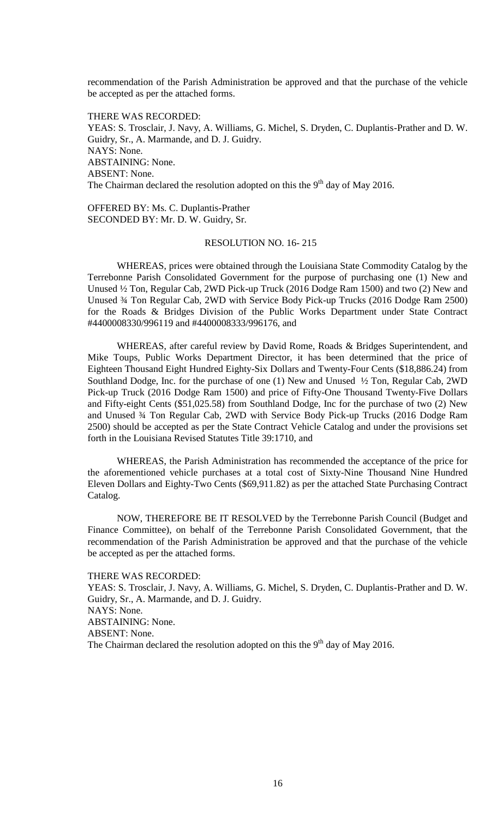recommendation of the Parish Administration be approved and that the purchase of the vehicle be accepted as per the attached forms.

THERE WAS RECORDED: YEAS: S. Trosclair, J. Navy, A. Williams, G. Michel, S. Dryden, C. Duplantis-Prather and D. W. Guidry, Sr., A. Marmande, and D. J. Guidry. NAYS: None. ABSTAINING: None. ABSENT: None. The Chairman declared the resolution adopted on this the  $9<sup>th</sup>$  day of May 2016.

OFFERED BY: Ms. C. Duplantis-Prather SECONDED BY: Mr. D. W. Guidry, Sr.

### RESOLUTION NO. 16- 215

WHEREAS, prices were obtained through the Louisiana State Commodity Catalog by the Terrebonne Parish Consolidated Government for the purpose of purchasing one (1) New and Unused ½ Ton, Regular Cab, 2WD Pick-up Truck (2016 Dodge Ram 1500) and two (2) New and Unused ¾ Ton Regular Cab, 2WD with Service Body Pick-up Trucks (2016 Dodge Ram 2500) for the Roads & Bridges Division of the Public Works Department under State Contract #4400008330/996119 and #4400008333/996176, and

WHEREAS, after careful review by David Rome, Roads & Bridges Superintendent, and Mike Toups, Public Works Department Director, it has been determined that the price of Eighteen Thousand Eight Hundred Eighty-Six Dollars and Twenty-Four Cents (\$18,886.24) from Southland Dodge, Inc. for the purchase of one (1) New and Unused ½ Ton, Regular Cab, 2WD Pick-up Truck (2016 Dodge Ram 1500) and price of Fifty-One Thousand Twenty-Five Dollars and Fifty-eight Cents (\$51,025.58) from Southland Dodge, Inc for the purchase of two (2) New and Unused ¾ Ton Regular Cab, 2WD with Service Body Pick-up Trucks (2016 Dodge Ram 2500) should be accepted as per the State Contract Vehicle Catalog and under the provisions set forth in the Louisiana Revised Statutes Title 39:1710, and

WHEREAS, the Parish Administration has recommended the acceptance of the price for the aforementioned vehicle purchases at a total cost of Sixty-Nine Thousand Nine Hundred Eleven Dollars and Eighty-Two Cents (\$69,911.82) as per the attached State Purchasing Contract Catalog.

NOW, THEREFORE BE IT RESOLVED by the Terrebonne Parish Council (Budget and Finance Committee), on behalf of the Terrebonne Parish Consolidated Government, that the recommendation of the Parish Administration be approved and that the purchase of the vehicle be accepted as per the attached forms.

### THERE WAS RECORDED:

YEAS: S. Trosclair, J. Navy, A. Williams, G. Michel, S. Dryden, C. Duplantis-Prather and D. W. Guidry, Sr., A. Marmande, and D. J. Guidry. NAYS: None. ABSTAINING: None. ABSENT: None. The Chairman declared the resolution adopted on this the  $9<sup>th</sup>$  day of May 2016.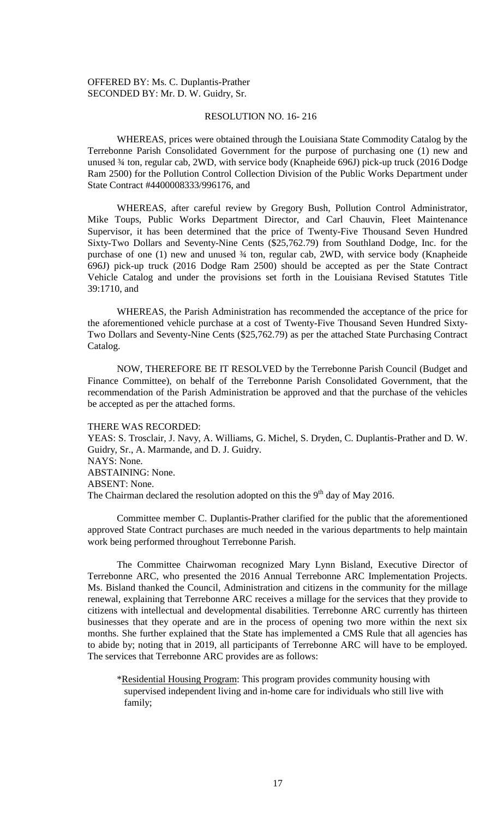OFFERED BY: Ms. C. Duplantis-Prather SECONDED BY: Mr. D. W. Guidry, Sr.

## RESOLUTION NO. 16- 216

WHEREAS, prices were obtained through the Louisiana State Commodity Catalog by the Terrebonne Parish Consolidated Government for the purpose of purchasing one (1) new and unused ¾ ton, regular cab, 2WD, with service body (Knapheide 696J) pick-up truck (2016 Dodge Ram 2500) for the Pollution Control Collection Division of the Public Works Department under State Contract #4400008333/996176, and

WHEREAS, after careful review by Gregory Bush, Pollution Control Administrator, Mike Toups, Public Works Department Director, and Carl Chauvin, Fleet Maintenance Supervisor, it has been determined that the price of Twenty-Five Thousand Seven Hundred Sixty-Two Dollars and Seventy-Nine Cents (\$25,762.79) from Southland Dodge, Inc. for the purchase of one (1) new and unused ¾ ton, regular cab, 2WD, with service body (Knapheide 696J) pick-up truck (2016 Dodge Ram 2500) should be accepted as per the State Contract Vehicle Catalog and under the provisions set forth in the Louisiana Revised Statutes Title 39:1710, and

WHEREAS, the Parish Administration has recommended the acceptance of the price for the aforementioned vehicle purchase at a cost of Twenty-Five Thousand Seven Hundred Sixty-Two Dollars and Seventy-Nine Cents (\$25,762.79) as per the attached State Purchasing Contract Catalog.

NOW, THEREFORE BE IT RESOLVED by the Terrebonne Parish Council (Budget and Finance Committee), on behalf of the Terrebonne Parish Consolidated Government, that the recommendation of the Parish Administration be approved and that the purchase of the vehicles be accepted as per the attached forms.

#### THERE WAS RECORDED:

YEAS: S. Trosclair, J. Navy, A. Williams, G. Michel, S. Dryden, C. Duplantis-Prather and D. W. Guidry, Sr., A. Marmande, and D. J. Guidry. NAYS: None. ABSTAINING: None. ABSENT: None. The Chairman declared the resolution adopted on this the  $9<sup>th</sup>$  day of May 2016.

Committee member C. Duplantis-Prather clarified for the public that the aforementioned approved State Contract purchases are much needed in the various departments to help maintain work being performed throughout Terrebonne Parish.

The Committee Chairwoman recognized Mary Lynn Bisland, Executive Director of Terrebonne ARC, who presented the 2016 Annual Terrebonne ARC Implementation Projects. Ms. Bisland thanked the Council, Administration and citizens in the community for the millage renewal, explaining that Terrebonne ARC receives a millage for the services that they provide to citizens with intellectual and developmental disabilities. Terrebonne ARC currently has thirteen businesses that they operate and are in the process of opening two more within the next six months. She further explained that the State has implemented a CMS Rule that all agencies has to abide by; noting that in 2019, all participants of Terrebonne ARC will have to be employed. The services that Terrebonne ARC provides are as follows:

\*Residential Housing Program: This program provides community housing with supervised independent living and in-home care for individuals who still live with family;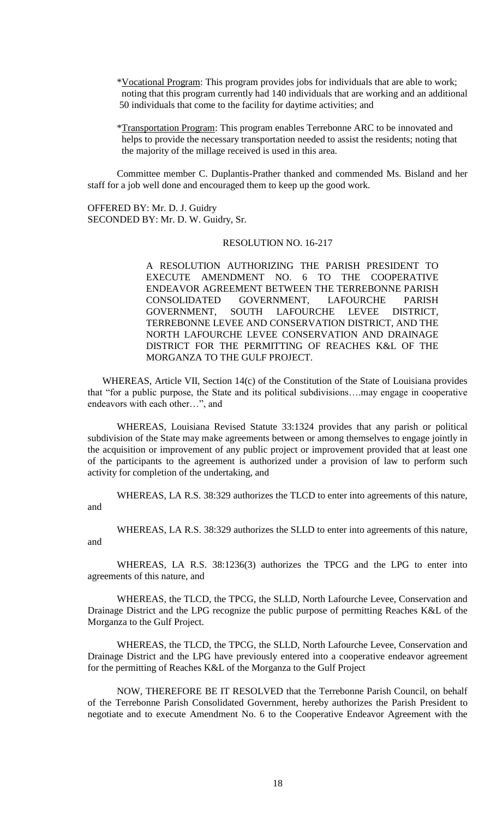\*Vocational Program: This program provides jobs for individuals that are able to work; noting that this program currently had 140 individuals that are working and an additional 50 individuals that come to the facility for daytime activities; and

\*Transportation Program: This program enables Terrebonne ARC to be innovated and helps to provide the necessary transportation needed to assist the residents; noting that the majority of the millage received is used in this area.

Committee member C. Duplantis-Prather thanked and commended Ms. Bisland and her staff for a job well done and encouraged them to keep up the good work.

OFFERED BY: Mr. D. J. Guidry SECONDED BY: Mr. D. W. Guidry, Sr.

### RESOLUTION NO. 16-217

A RESOLUTION AUTHORIZING THE PARISH PRESIDENT TO EXECUTE AMENDMENT NO. 6 TO THE COOPERATIVE ENDEAVOR AGREEMENT BETWEEN THE TERREBONNE PARISH CONSOLIDATED GOVERNMENT, LAFOURCHE PARISH GOVERNMENT, SOUTH LAFOURCHE LEVEE DISTRICT, TERREBONNE LEVEE AND CONSERVATION DISTRICT, AND THE NORTH LAFOURCHE LEVEE CONSERVATION AND DRAINAGE DISTRICT FOR THE PERMITTING OF REACHES K&L OF THE MORGANZA TO THE GULF PROJECT.

WHEREAS, Article VII, Section 14(c) of the Constitution of the State of Louisiana provides that "for a public purpose, the State and its political subdivisions….may engage in cooperative endeavors with each other…", and

WHEREAS, Louisiana Revised Statute 33:1324 provides that any parish or political subdivision of the State may make agreements between or among themselves to engage jointly in the acquisition or improvement of any public project or improvement provided that at least one of the participants to the agreement is authorized under a provision of law to perform such activity for completion of the undertaking, and

WHEREAS, LA R.S. 38:329 authorizes the TLCD to enter into agreements of this nature, and

WHEREAS, LA R.S. 38:329 authorizes the SLLD to enter into agreements of this nature, and

WHEREAS, LA R.S. 38:1236(3) authorizes the TPCG and the LPG to enter into agreements of this nature, and

WHEREAS, the TLCD, the TPCG, the SLLD, North Lafourche Levee, Conservation and Drainage District and the LPG recognize the public purpose of permitting Reaches K&L of the Morganza to the Gulf Project.

WHEREAS, the TLCD, the TPCG, the SLLD, North Lafourche Levee, Conservation and Drainage District and the LPG have previously entered into a cooperative endeavor agreement for the permitting of Reaches K&L of the Morganza to the Gulf Project

NOW, THEREFORE BE IT RESOLVED that the Terrebonne Parish Council, on behalf of the Terrebonne Parish Consolidated Government, hereby authorizes the Parish President to negotiate and to execute Amendment No. 6 to the Cooperative Endeavor Agreement with the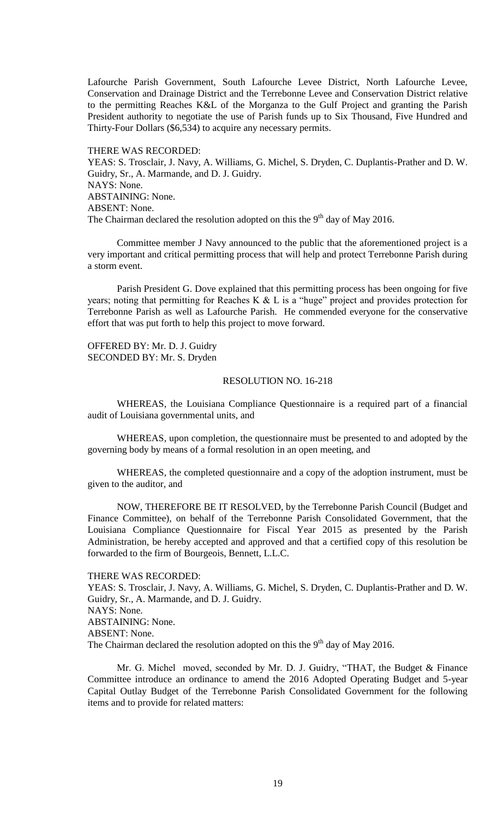Lafourche Parish Government, South Lafourche Levee District, North Lafourche Levee, Conservation and Drainage District and the Terrebonne Levee and Conservation District relative to the permitting Reaches K&L of the Morganza to the Gulf Project and granting the Parish President authority to negotiate the use of Parish funds up to Six Thousand, Five Hundred and Thirty-Four Dollars (\$6,534) to acquire any necessary permits.

THERE WAS RECORDED:

YEAS: S. Trosclair, J. Navy, A. Williams, G. Michel, S. Dryden, C. Duplantis-Prather and D. W. Guidry, Sr., A. Marmande, and D. J. Guidry. NAYS: None. ABSTAINING: None. ABSENT: None. The Chairman declared the resolution adopted on this the  $9<sup>th</sup>$  day of May 2016.

Committee member J Navy announced to the public that the aforementioned project is a very important and critical permitting process that will help and protect Terrebonne Parish during a storm event.

Parish President G. Dove explained that this permitting process has been ongoing for five years; noting that permitting for Reaches K  $&$  L is a "huge" project and provides protection for Terrebonne Parish as well as Lafourche Parish. He commended everyone for the conservative effort that was put forth to help this project to move forward.

OFFERED BY: Mr. D. J. Guidry SECONDED BY: Mr. S. Dryden

## RESOLUTION NO. 16-218

WHEREAS, the Louisiana Compliance Questionnaire is a required part of a financial audit of Louisiana governmental units, and

WHEREAS, upon completion, the questionnaire must be presented to and adopted by the governing body by means of a formal resolution in an open meeting, and

WHEREAS, the completed questionnaire and a copy of the adoption instrument, must be given to the auditor, and

NOW, THEREFORE BE IT RESOLVED, by the Terrebonne Parish Council (Budget and Finance Committee), on behalf of the Terrebonne Parish Consolidated Government, that the Louisiana Compliance Questionnaire for Fiscal Year 2015 as presented by the Parish Administration, be hereby accepted and approved and that a certified copy of this resolution be forwarded to the firm of Bourgeois, Bennett, L.L.C.

### THERE WAS RECORDED:

YEAS: S. Trosclair, J. Navy, A. Williams, G. Michel, S. Dryden, C. Duplantis-Prather and D. W. Guidry, Sr., A. Marmande, and D. J. Guidry. NAYS: None. ABSTAINING: None. ABSENT: None. The Chairman declared the resolution adopted on this the  $9<sup>th</sup>$  day of May 2016.

Mr. G. Michel moved, seconded by Mr. D. J. Guidry, "THAT, the Budget & Finance Committee introduce an ordinance to amend the 2016 Adopted Operating Budget and 5-year Capital Outlay Budget of the Terrebonne Parish Consolidated Government for the following items and to provide for related matters: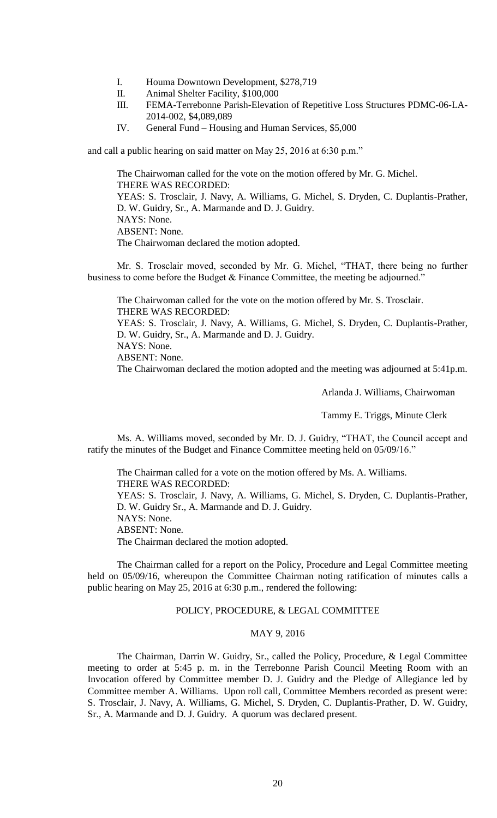- I. Houma Downtown Development, \$278,719
- II. Animal Shelter Facility, \$100,000
- III. FEMA-Terrebonne Parish-Elevation of Repetitive Loss Structures PDMC-06-LA-2014-002, \$4,089,089
- IV. General Fund Housing and Human Services, \$5,000

and call a public hearing on said matter on May 25, 2016 at 6:30 p.m."

The Chairwoman called for the vote on the motion offered by Mr. G. Michel. THERE WAS RECORDED: YEAS: S. Trosclair, J. Navy, A. Williams, G. Michel, S. Dryden, C. Duplantis-Prather, D. W. Guidry, Sr., A. Marmande and D. J. Guidry. NAYS: None. ABSENT: None. The Chairwoman declared the motion adopted.

Mr. S. Trosclair moved, seconded by Mr. G. Michel, "THAT, there being no further business to come before the Budget & Finance Committee, the meeting be adjourned."

The Chairwoman called for the vote on the motion offered by Mr. S. Trosclair. THERE WAS RECORDED: YEAS: S. Trosclair, J. Navy, A. Williams, G. Michel, S. Dryden, C. Duplantis-Prather, D. W. Guidry, Sr., A. Marmande and D. J. Guidry. NAYS: None. ABSENT: None.

The Chairwoman declared the motion adopted and the meeting was adjourned at 5:41p.m.

Arlanda J. Williams, Chairwoman

Tammy E. Triggs, Minute Clerk

Ms. A. Williams moved, seconded by Mr. D. J. Guidry, "THAT, the Council accept and ratify the minutes of the Budget and Finance Committee meeting held on 05/09/16."

The Chairman called for a vote on the motion offered by Ms. A. Williams. THERE WAS RECORDED: YEAS: S. Trosclair, J. Navy, A. Williams, G. Michel, S. Dryden, C. Duplantis-Prather, D. W. Guidry Sr., A. Marmande and D. J. Guidry. NAYS: None. ABSENT: None. The Chairman declared the motion adopted.

The Chairman called for a report on the Policy, Procedure and Legal Committee meeting held on 05/09/16, whereupon the Committee Chairman noting ratification of minutes calls a public hearing on May 25, 2016 at 6:30 p.m., rendered the following:

## POLICY, PROCEDURE, & LEGAL COMMITTEE

## MAY 9, 2016

The Chairman, Darrin W. Guidry, Sr., called the Policy, Procedure, & Legal Committee meeting to order at 5:45 p. m. in the Terrebonne Parish Council Meeting Room with an Invocation offered by Committee member D. J. Guidry and the Pledge of Allegiance led by Committee member A. Williams. Upon roll call, Committee Members recorded as present were: S. Trosclair, J. Navy, A. Williams, G. Michel, S. Dryden, C. Duplantis-Prather, D. W. Guidry, Sr., A. Marmande and D. J. Guidry. A quorum was declared present.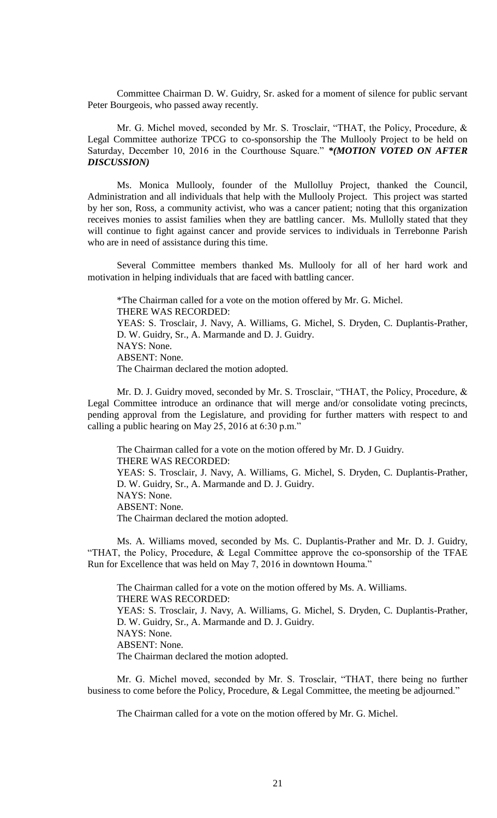Committee Chairman D. W. Guidry, Sr. asked for a moment of silence for public servant Peter Bourgeois, who passed away recently.

Mr. G. Michel moved, seconded by Mr. S. Trosclair, "THAT, the Policy, Procedure, & Legal Committee authorize TPCG to co-sponsorship the The Mullooly Project to be held on Saturday, December 10, 2016 in the Courthouse Square." *\*(MOTION VOTED ON AFTER DISCUSSION)*

Ms. Monica Mullooly, founder of the Mullolluy Project, thanked the Council, Administration and all individuals that help with the Mullooly Project. This project was started by her son, Ross, a community activist, who was a cancer patient; noting that this organization receives monies to assist families when they are battling cancer. Ms. Mullolly stated that they will continue to fight against cancer and provide services to individuals in Terrebonne Parish who are in need of assistance during this time.

Several Committee members thanked Ms. Mullooly for all of her hard work and motivation in helping individuals that are faced with battling cancer.

\*The Chairman called for a vote on the motion offered by Mr. G. Michel. THERE WAS RECORDED: YEAS: S. Trosclair, J. Navy, A. Williams, G. Michel, S. Dryden, C. Duplantis-Prather, D. W. Guidry, Sr., A. Marmande and D. J. Guidry. NAYS: None. ABSENT: None. The Chairman declared the motion adopted.

Mr. D. J. Guidry moved, seconded by Mr. S. Trosclair, "THAT, the Policy, Procedure, & Legal Committee introduce an ordinance that will merge and/or consolidate voting precincts, pending approval from the Legislature, and providing for further matters with respect to and calling a public hearing on May 25, 2016 at 6:30 p.m."

The Chairman called for a vote on the motion offered by Mr. D. J Guidry. THERE WAS RECORDED: YEAS: S. Trosclair, J. Navy, A. Williams, G. Michel, S. Dryden, C. Duplantis-Prather, D. W. Guidry, Sr., A. Marmande and D. J. Guidry. NAYS: None. ABSENT: None. The Chairman declared the motion adopted.

Ms. A. Williams moved, seconded by Ms. C. Duplantis-Prather and Mr. D. J. Guidry, "THAT, the Policy, Procedure, & Legal Committee approve the co-sponsorship of the TFAE Run for Excellence that was held on May 7, 2016 in downtown Houma."

The Chairman called for a vote on the motion offered by Ms. A. Williams. THERE WAS RECORDED: YEAS: S. Trosclair, J. Navy, A. Williams, G. Michel, S. Dryden, C. Duplantis-Prather, D. W. Guidry, Sr., A. Marmande and D. J. Guidry. NAYS: None. ABSENT: None. The Chairman declared the motion adopted.

Mr. G. Michel moved, seconded by Mr. S. Trosclair, "THAT, there being no further business to come before the Policy, Procedure, & Legal Committee, the meeting be adjourned."

The Chairman called for a vote on the motion offered by Mr. G. Michel.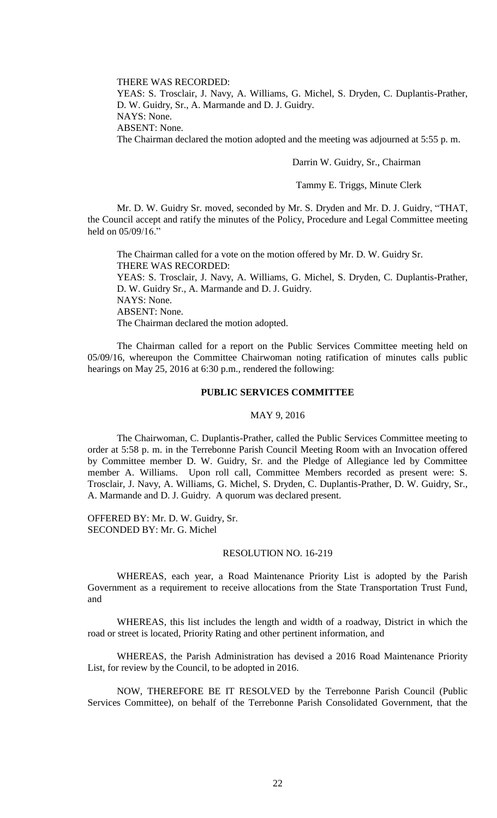THERE WAS RECORDED:

YEAS: S. Trosclair, J. Navy, A. Williams, G. Michel, S. Dryden, C. Duplantis-Prather, D. W. Guidry, Sr., A. Marmande and D. J. Guidry.

NAYS: None.

ABSENT: None.

The Chairman declared the motion adopted and the meeting was adjourned at 5:55 p. m.

Darrin W. Guidry, Sr., Chairman

Tammy E. Triggs, Minute Clerk

Mr. D. W. Guidry Sr. moved, seconded by Mr. S. Dryden and Mr. D. J. Guidry, "THAT, the Council accept and ratify the minutes of the Policy, Procedure and Legal Committee meeting held on 05/09/16."

The Chairman called for a vote on the motion offered by Mr. D. W. Guidry Sr. THERE WAS RECORDED: YEAS: S. Trosclair, J. Navy, A. Williams, G. Michel, S. Dryden, C. Duplantis-Prather, D. W. Guidry Sr., A. Marmande and D. J. Guidry. NAYS: None. ABSENT: None. The Chairman declared the motion adopted.

The Chairman called for a report on the Public Services Committee meeting held on 05/09/16, whereupon the Committee Chairwoman noting ratification of minutes calls public hearings on May 25, 2016 at 6:30 p.m., rendered the following:

### **PUBLIC SERVICES COMMITTEE**

## MAY 9, 2016

The Chairwoman, C. Duplantis-Prather, called the Public Services Committee meeting to order at 5:58 p. m. in the Terrebonne Parish Council Meeting Room with an Invocation offered by Committee member D. W. Guidry, Sr. and the Pledge of Allegiance led by Committee member A. Williams. Upon roll call, Committee Members recorded as present were: S. Trosclair, J. Navy, A. Williams, G. Michel, S. Dryden, C. Duplantis-Prather, D. W. Guidry, Sr., A. Marmande and D. J. Guidry. A quorum was declared present.

OFFERED BY: Mr. D. W. Guidry, Sr. SECONDED BY: Mr. G. Michel

## RESOLUTION NO. 16-219

WHEREAS, each year, a Road Maintenance Priority List is adopted by the Parish Government as a requirement to receive allocations from the State Transportation Trust Fund, and

WHEREAS, this list includes the length and width of a roadway, District in which the road or street is located, Priority Rating and other pertinent information, and

WHEREAS, the Parish Administration has devised a 2016 Road Maintenance Priority List, for review by the Council, to be adopted in 2016.

NOW, THEREFORE BE IT RESOLVED by the Terrebonne Parish Council (Public Services Committee), on behalf of the Terrebonne Parish Consolidated Government, that the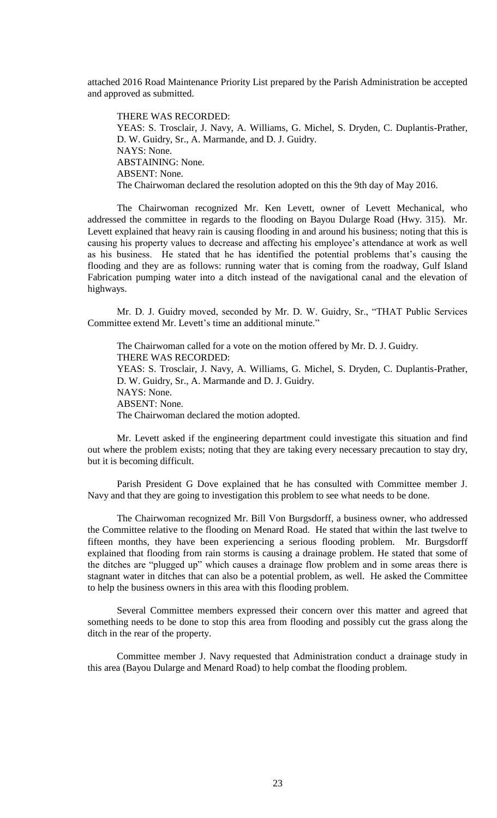attached 2016 Road Maintenance Priority List prepared by the Parish Administration be accepted and approved as submitted.

THERE WAS RECORDED: YEAS: S. Trosclair, J. Navy, A. Williams, G. Michel, S. Dryden, C. Duplantis-Prather, D. W. Guidry, Sr., A. Marmande, and D. J. Guidry. NAYS: None. ABSTAINING: None. ABSENT: None. The Chairwoman declared the resolution adopted on this the 9th day of May 2016.

The Chairwoman recognized Mr. Ken Levett, owner of Levett Mechanical, who addressed the committee in regards to the flooding on Bayou Dularge Road (Hwy. 315). Mr. Levett explained that heavy rain is causing flooding in and around his business; noting that this is causing his property values to decrease and affecting his employee's attendance at work as well as his business. He stated that he has identified the potential problems that's causing the flooding and they are as follows: running water that is coming from the roadway, Gulf Island Fabrication pumping water into a ditch instead of the navigational canal and the elevation of highways.

Mr. D. J. Guidry moved, seconded by Mr. D. W. Guidry, Sr., "THAT Public Services Committee extend Mr. Levett's time an additional minute."

The Chairwoman called for a vote on the motion offered by Mr. D. J. Guidry. THERE WAS RECORDED: YEAS: S. Trosclair, J. Navy, A. Williams, G. Michel, S. Dryden, C. Duplantis-Prather, D. W. Guidry, Sr., A. Marmande and D. J. Guidry. NAYS: None. ABSENT: None. The Chairwoman declared the motion adopted.

Mr. Levett asked if the engineering department could investigate this situation and find out where the problem exists; noting that they are taking every necessary precaution to stay dry, but it is becoming difficult.

Parish President G Dove explained that he has consulted with Committee member J. Navy and that they are going to investigation this problem to see what needs to be done.

The Chairwoman recognized Mr. Bill Von Burgsdorff, a business owner, who addressed the Committee relative to the flooding on Menard Road. He stated that within the last twelve to fifteen months, they have been experiencing a serious flooding problem. Mr. Burgsdorff explained that flooding from rain storms is causing a drainage problem. He stated that some of the ditches are "plugged up" which causes a drainage flow problem and in some areas there is stagnant water in ditches that can also be a potential problem, as well. He asked the Committee to help the business owners in this area with this flooding problem.

Several Committee members expressed their concern over this matter and agreed that something needs to be done to stop this area from flooding and possibly cut the grass along the ditch in the rear of the property.

Committee member J. Navy requested that Administration conduct a drainage study in this area (Bayou Dularge and Menard Road) to help combat the flooding problem.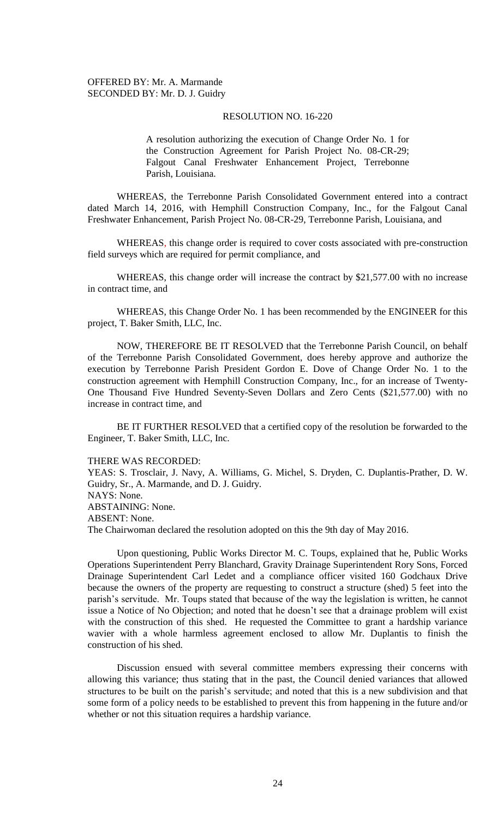## RESOLUTION NO. 16-220

A resolution authorizing the execution of Change Order No. 1 for the Construction Agreement for Parish Project No. 08-CR-29; Falgout Canal Freshwater Enhancement Project, Terrebonne Parish, Louisiana.

WHEREAS, the Terrebonne Parish Consolidated Government entered into a contract dated March 14, 2016, with Hemphill Construction Company, Inc., for the Falgout Canal Freshwater Enhancement, Parish Project No. 08-CR-29, Terrebonne Parish, Louisiana, and

WHEREAS, this change order is required to cover costs associated with pre-construction field surveys which are required for permit compliance, and

WHEREAS, this change order will increase the contract by \$21,577.00 with no increase in contract time, and

WHEREAS, this Change Order No. 1 has been recommended by the ENGINEER for this project, T. Baker Smith, LLC, Inc.

NOW, THEREFORE BE IT RESOLVED that the Terrebonne Parish Council, on behalf of the Terrebonne Parish Consolidated Government, does hereby approve and authorize the execution by Terrebonne Parish President Gordon E. Dove of Change Order No. 1 to the construction agreement with Hemphill Construction Company, Inc., for an increase of Twenty-One Thousand Five Hundred Seventy-Seven Dollars and Zero Cents (\$21,577.00) with no increase in contract time, and

BE IT FURTHER RESOLVED that a certified copy of the resolution be forwarded to the Engineer, T. Baker Smith, LLC, Inc.

### THERE WAS RECORDED:

YEAS: S. Trosclair, J. Navy, A. Williams, G. Michel, S. Dryden, C. Duplantis-Prather, D. W. Guidry, Sr., A. Marmande, and D. J. Guidry. NAYS: None. ABSTAINING: None. ABSENT: None. The Chairwoman declared the resolution adopted on this the 9th day of May 2016.

Upon questioning, Public Works Director M. C. Toups, explained that he, Public Works Operations Superintendent Perry Blanchard, Gravity Drainage Superintendent Rory Sons, Forced Drainage Superintendent Carl Ledet and a compliance officer visited 160 Godchaux Drive because the owners of the property are requesting to construct a structure (shed) 5 feet into the parish's servitude. Mr. Toups stated that because of the way the legislation is written, he cannot issue a Notice of No Objection; and noted that he doesn't see that a drainage problem will exist with the construction of this shed. He requested the Committee to grant a hardship variance wavier with a whole harmless agreement enclosed to allow Mr. Duplantis to finish the construction of his shed.

Discussion ensued with several committee members expressing their concerns with allowing this variance; thus stating that in the past, the Council denied variances that allowed structures to be built on the parish's servitude; and noted that this is a new subdivision and that some form of a policy needs to be established to prevent this from happening in the future and/or whether or not this situation requires a hardship variance.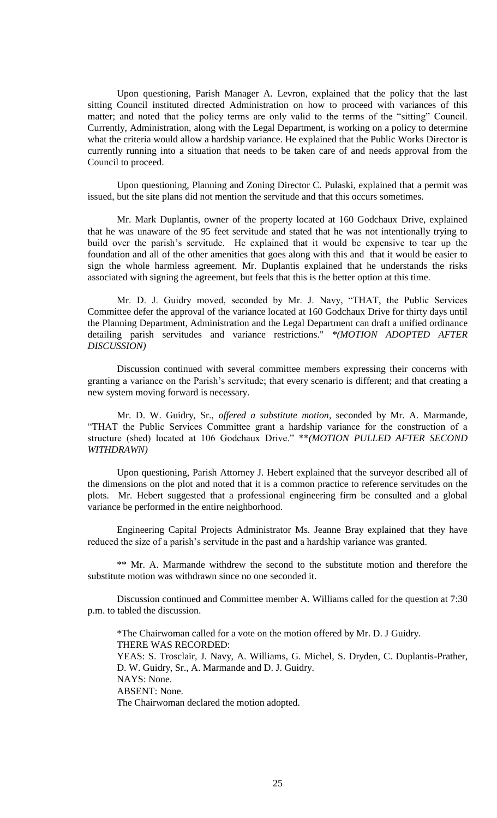Upon questioning, Parish Manager A. Levron, explained that the policy that the last sitting Council instituted directed Administration on how to proceed with variances of this matter; and noted that the policy terms are only valid to the terms of the "sitting" Council. Currently, Administration, along with the Legal Department, is working on a policy to determine what the criteria would allow a hardship variance. He explained that the Public Works Director is currently running into a situation that needs to be taken care of and needs approval from the Council to proceed.

Upon questioning, Planning and Zoning Director C. Pulaski, explained that a permit was issued, but the site plans did not mention the servitude and that this occurs sometimes.

Mr. Mark Duplantis, owner of the property located at 160 Godchaux Drive, explained that he was unaware of the 95 feet servitude and stated that he was not intentionally trying to build over the parish's servitude. He explained that it would be expensive to tear up the foundation and all of the other amenities that goes along with this and that it would be easier to sign the whole harmless agreement. Mr. Duplantis explained that he understands the risks associated with signing the agreement, but feels that this is the better option at this time.

Mr. D. J. Guidry moved, seconded by Mr. J. Navy, "THAT, the Public Services Committee defer the approval of the variance located at 160 Godchaux Drive for thirty days until the Planning Department, Administration and the Legal Department can draft a unified ordinance detailing parish servitudes and variance restrictions." *\*(MOTION ADOPTED AFTER DISCUSSION)*

Discussion continued with several committee members expressing their concerns with granting a variance on the Parish's servitude; that every scenario is different; and that creating a new system moving forward is necessary.

Mr. D. W. Guidry, Sr., *offered a substitute motion*, seconded by Mr. A. Marmande, "THAT the Public Services Committee grant a hardship variance for the construction of a structure (shed) located at 106 Godchaux Drive." \*\**(MOTION PULLED AFTER SECOND WITHDRAWN)*

Upon questioning, Parish Attorney J. Hebert explained that the surveyor described all of the dimensions on the plot and noted that it is a common practice to reference servitudes on the plots. Mr. Hebert suggested that a professional engineering firm be consulted and a global variance be performed in the entire neighborhood.

Engineering Capital Projects Administrator Ms. Jeanne Bray explained that they have reduced the size of a parish's servitude in the past and a hardship variance was granted.

\*\* Mr. A. Marmande withdrew the second to the substitute motion and therefore the substitute motion was withdrawn since no one seconded it.

Discussion continued and Committee member A. Williams called for the question at 7:30 p.m. to tabled the discussion.

\*The Chairwoman called for a vote on the motion offered by Mr. D. J Guidry. THERE WAS RECORDED: YEAS: S. Trosclair, J. Navy, A. Williams, G. Michel, S. Dryden, C. Duplantis-Prather, D. W. Guidry, Sr., A. Marmande and D. J. Guidry. NAYS: None. ABSENT: None. The Chairwoman declared the motion adopted.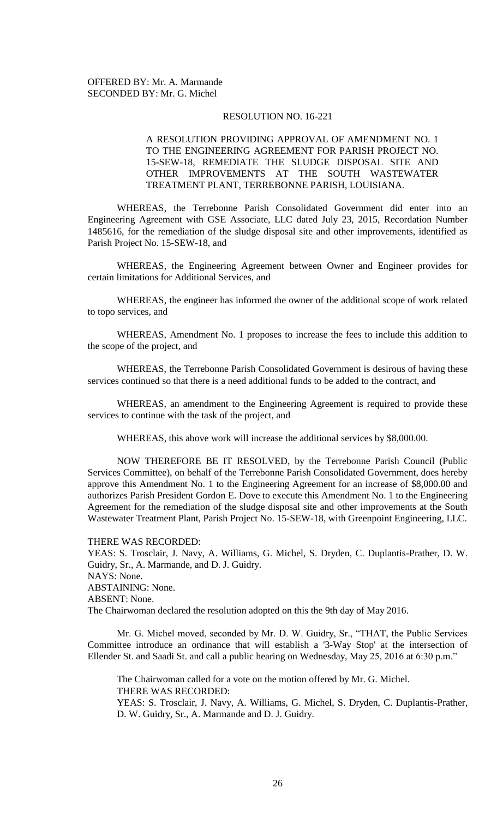## RESOLUTION NO. 16-221

# A RESOLUTION PROVIDING APPROVAL OF AMENDMENT NO. 1 TO THE ENGINEERING AGREEMENT FOR PARISH PROJECT NO. 15-SEW-18, REMEDIATE THE SLUDGE DISPOSAL SITE AND OTHER IMPROVEMENTS AT THE SOUTH WASTEWATER TREATMENT PLANT, TERREBONNE PARISH, LOUISIANA.

WHEREAS, the Terrebonne Parish Consolidated Government did enter into an Engineering Agreement with GSE Associate, LLC dated July 23, 2015, Recordation Number 1485616, for the remediation of the sludge disposal site and other improvements, identified as Parish Project No. 15-SEW-18, and

WHEREAS, the Engineering Agreement between Owner and Engineer provides for certain limitations for Additional Services, and

WHEREAS, the engineer has informed the owner of the additional scope of work related to topo services, and

WHEREAS, Amendment No. 1 proposes to increase the fees to include this addition to the scope of the project, and

WHEREAS, the Terrebonne Parish Consolidated Government is desirous of having these services continued so that there is a need additional funds to be added to the contract, and

WHEREAS, an amendment to the Engineering Agreement is required to provide these services to continue with the task of the project, and

WHEREAS, this above work will increase the additional services by \$8,000.00.

NOW THEREFORE BE IT RESOLVED, by the Terrebonne Parish Council (Public Services Committee), on behalf of the Terrebonne Parish Consolidated Government, does hereby approve this Amendment No. 1 to the Engineering Agreement for an increase of \$8,000.00 and authorizes Parish President Gordon E. Dove to execute this Amendment No. 1 to the Engineering Agreement for the remediation of the sludge disposal site and other improvements at the South Wastewater Treatment Plant, Parish Project No. 15-SEW-18, with Greenpoint Engineering, LLC.

THERE WAS RECORDED:

YEAS: S. Trosclair, J. Navy, A. Williams, G. Michel, S. Dryden, C. Duplantis-Prather, D. W. Guidry, Sr., A. Marmande, and D. J. Guidry. NAYS: None. ABSTAINING: None. ABSENT: None. The Chairwoman declared the resolution adopted on this the 9th day of May 2016.

Mr. G. Michel moved, seconded by Mr. D. W. Guidry, Sr., "THAT, the Public Services Committee introduce an ordinance that will establish a '3-Way Stop' at the intersection of Ellender St. and Saadi St. and call a public hearing on Wednesday, May 25, 2016 at 6:30 p.m."

The Chairwoman called for a vote on the motion offered by Mr. G. Michel. THERE WAS RECORDED: YEAS: S. Trosclair, J. Navy, A. Williams, G. Michel, S. Dryden, C. Duplantis-Prather, D. W. Guidry, Sr., A. Marmande and D. J. Guidry.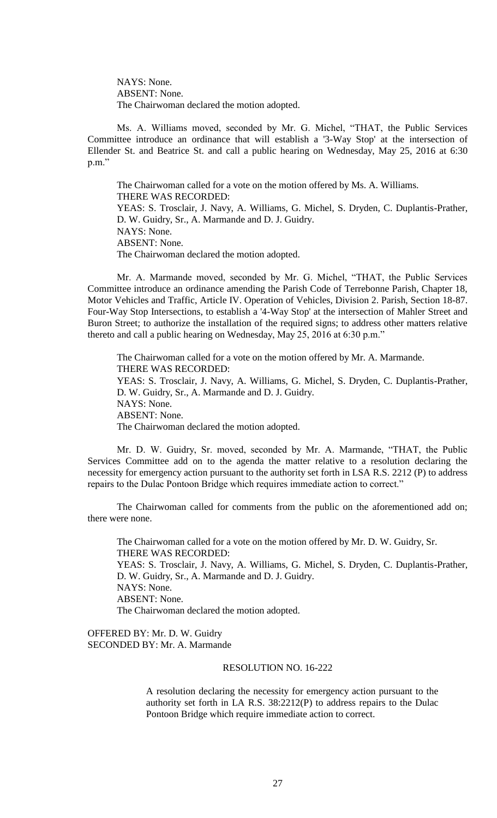NAYS: None. ABSENT: None. The Chairwoman declared the motion adopted.

Ms. A. Williams moved, seconded by Mr. G. Michel, "THAT, the Public Services Committee introduce an ordinance that will establish a '3-Way Stop' at the intersection of Ellender St. and Beatrice St. and call a public hearing on Wednesday, May 25, 2016 at 6:30 p.m."

The Chairwoman called for a vote on the motion offered by Ms. A. Williams. THERE WAS RECORDED: YEAS: S. Trosclair, J. Navy, A. Williams, G. Michel, S. Dryden, C. Duplantis-Prather, D. W. Guidry, Sr., A. Marmande and D. J. Guidry. NAYS: None. ABSENT: None. The Chairwoman declared the motion adopted.

Mr. A. Marmande moved, seconded by Mr. G. Michel, "THAT, the Public Services Committee introduce an ordinance amending the Parish Code of Terrebonne Parish, Chapter 18, Motor Vehicles and Traffic, Article IV. Operation of Vehicles, Division 2. Parish, Section 18-87. Four-Way Stop Intersections, to establish a '4-Way Stop' at the intersection of Mahler Street and Buron Street; to authorize the installation of the required signs; to address other matters relative thereto and call a public hearing on Wednesday, May 25, 2016 at 6:30 p.m."

The Chairwoman called for a vote on the motion offered by Mr. A. Marmande. THERE WAS RECORDED: YEAS: S. Trosclair, J. Navy, A. Williams, G. Michel, S. Dryden, C. Duplantis-Prather, D. W. Guidry, Sr., A. Marmande and D. J. Guidry. NAYS: None. ABSENT: None. The Chairwoman declared the motion adopted.

Mr. D. W. Guidry, Sr. moved, seconded by Mr. A. Marmande, "THAT, the Public Services Committee add on to the agenda the matter relative to a resolution declaring the necessity for emergency action pursuant to the authority set forth in LSA R.S. 2212 (P) to address repairs to the Dulac Pontoon Bridge which requires immediate action to correct."

The Chairwoman called for comments from the public on the aforementioned add on; there were none.

The Chairwoman called for a vote on the motion offered by Mr. D. W. Guidry, Sr. THERE WAS RECORDED: YEAS: S. Trosclair, J. Navy, A. Williams, G. Michel, S. Dryden, C. Duplantis-Prather, D. W. Guidry, Sr., A. Marmande and D. J. Guidry. NAYS: None. ABSENT: None. The Chairwoman declared the motion adopted.

OFFERED BY: Mr. D. W. Guidry SECONDED BY: Mr. A. Marmande

## RESOLUTION NO. 16-222

A resolution declaring the necessity for emergency action pursuant to the authority set forth in LA R.S. 38:2212(P) to address repairs to the Dulac Pontoon Bridge which require immediate action to correct.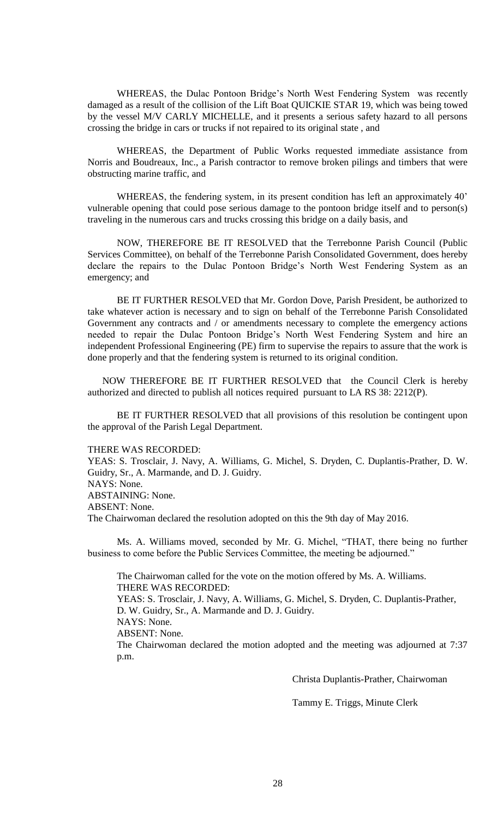WHEREAS, the Dulac Pontoon Bridge's North West Fendering System was recently damaged as a result of the collision of the Lift Boat QUICKIE STAR 19, which was being towed by the vessel M/V CARLY MICHELLE, and it presents a serious safety hazard to all persons crossing the bridge in cars or trucks if not repaired to its original state , and

WHEREAS, the Department of Public Works requested immediate assistance from Norris and Boudreaux, Inc., a Parish contractor to remove broken pilings and timbers that were obstructing marine traffic, and

WHEREAS, the fendering system, in its present condition has left an approximately 40' vulnerable opening that could pose serious damage to the pontoon bridge itself and to person(s) traveling in the numerous cars and trucks crossing this bridge on a daily basis, and

NOW, THEREFORE BE IT RESOLVED that the Terrebonne Parish Council (Public Services Committee), on behalf of the Terrebonne Parish Consolidated Government, does hereby declare the repairs to the Dulac Pontoon Bridge's North West Fendering System as an emergency; and

BE IT FURTHER RESOLVED that Mr. Gordon Dove, Parish President, be authorized to take whatever action is necessary and to sign on behalf of the Terrebonne Parish Consolidated Government any contracts and / or amendments necessary to complete the emergency actions needed to repair the Dulac Pontoon Bridge's North West Fendering System and hire an independent Professional Engineering (PE) firm to supervise the repairs to assure that the work is done properly and that the fendering system is returned to its original condition.

NOW THEREFORE BE IT FURTHER RESOLVED that the Council Clerk is hereby authorized and directed to publish all notices required pursuant to LA RS 38: 2212(P).

BE IT FURTHER RESOLVED that all provisions of this resolution be contingent upon the approval of the Parish Legal Department.

#### THERE WAS RECORDED:

YEAS: S. Trosclair, J. Navy, A. Williams, G. Michel, S. Dryden, C. Duplantis-Prather, D. W. Guidry, Sr., A. Marmande, and D. J. Guidry. NAYS: None.

ABSTAINING: None.

ABSENT: None.

The Chairwoman declared the resolution adopted on this the 9th day of May 2016.

Ms. A. Williams moved, seconded by Mr. G. Michel, "THAT, there being no further business to come before the Public Services Committee, the meeting be adjourned."

The Chairwoman called for the vote on the motion offered by Ms. A. Williams. THERE WAS RECORDED: YEAS: S. Trosclair, J. Navy, A. Williams, G. Michel, S. Dryden, C. Duplantis-Prather, D. W. Guidry, Sr., A. Marmande and D. J. Guidry. NAYS: None. ABSENT: None. The Chairwoman declared the motion adopted and the meeting was adjourned at 7:37 p.m.

Christa Duplantis-Prather, Chairwoman

Tammy E. Triggs, Minute Clerk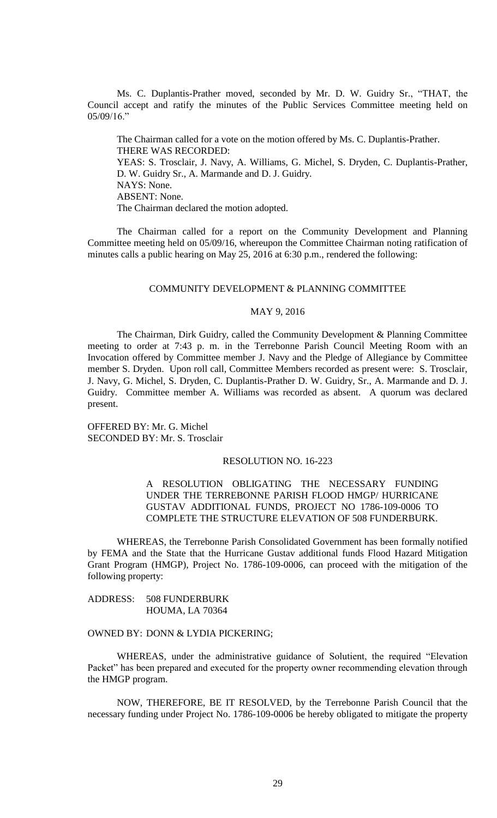Ms. C. Duplantis-Prather moved, seconded by Mr. D. W. Guidry Sr., "THAT, the Council accept and ratify the minutes of the Public Services Committee meeting held on 05/09/16."

The Chairman called for a vote on the motion offered by Ms. C. Duplantis-Prather. THERE WAS RECORDED: YEAS: S. Trosclair, J. Navy, A. Williams, G. Michel, S. Dryden, C. Duplantis-Prather, D. W. Guidry Sr., A. Marmande and D. J. Guidry. NAYS: None. ABSENT: None. The Chairman declared the motion adopted.

The Chairman called for a report on the Community Development and Planning Committee meeting held on 05/09/16, whereupon the Committee Chairman noting ratification of minutes calls a public hearing on May 25, 2016 at 6:30 p.m., rendered the following:

#### COMMUNITY DEVELOPMENT & PLANNING COMMITTEE

### MAY 9, 2016

The Chairman, Dirk Guidry, called the Community Development & Planning Committee meeting to order at 7:43 p. m. in the Terrebonne Parish Council Meeting Room with an Invocation offered by Committee member J. Navy and the Pledge of Allegiance by Committee member S. Dryden. Upon roll call, Committee Members recorded as present were: S. Trosclair, J. Navy, G. Michel, S. Dryden, C. Duplantis-Prather D. W. Guidry, Sr., A. Marmande and D. J. Guidry. Committee member A. Williams was recorded as absent. A quorum was declared present.

OFFERED BY: Mr. G. Michel SECONDED BY: Mr. S. Trosclair

## RESOLUTION NO. 16-223

# A RESOLUTION OBLIGATING THE NECESSARY FUNDING UNDER THE TERREBONNE PARISH FLOOD HMGP/ HURRICANE GUSTAV ADDITIONAL FUNDS, PROJECT NO 1786-109-0006 TO COMPLETE THE STRUCTURE ELEVATION OF 508 FUNDERBURK.

WHEREAS, the Terrebonne Parish Consolidated Government has been formally notified by FEMA and the State that the Hurricane Gustav additional funds Flood Hazard Mitigation Grant Program (HMGP), Project No. 1786-109-0006, can proceed with the mitigation of the following property:

ADDRESS: 508 FUNDERBURK HOUMA, LA 70364

# OWNED BY: DONN & LYDIA PICKERING;

WHEREAS, under the administrative guidance of Solutient, the required "Elevation Packet" has been prepared and executed for the property owner recommending elevation through the HMGP program.

NOW, THEREFORE, BE IT RESOLVED, by the Terrebonne Parish Council that the necessary funding under Project No. 1786-109-0006 be hereby obligated to mitigate the property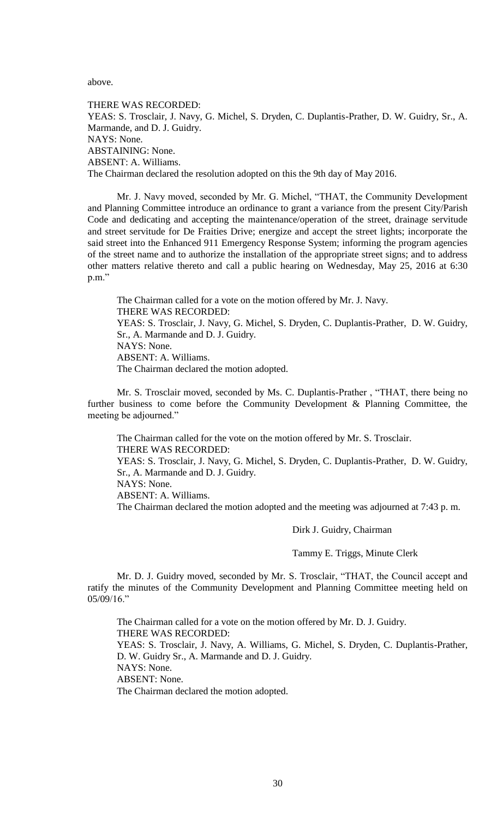above.

THERE WAS RECORDED: YEAS: S. Trosclair, J. Navy, G. Michel, S. Dryden, C. Duplantis-Prather, D. W. Guidry, Sr., A. Marmande, and D. J. Guidry. NAYS: None. ABSTAINING: None. ABSENT: A. Williams. The Chairman declared the resolution adopted on this the 9th day of May 2016.

Mr. J. Navy moved, seconded by Mr. G. Michel, "THAT, the Community Development and Planning Committee introduce an ordinance to grant a variance from the present City/Parish Code and dedicating and accepting the maintenance/operation of the street, drainage servitude and street servitude for De Fraities Drive; energize and accept the street lights; incorporate the said street into the Enhanced 911 Emergency Response System; informing the program agencies of the street name and to authorize the installation of the appropriate street signs; and to address other matters relative thereto and call a public hearing on Wednesday, May 25, 2016 at 6:30 p.m."

The Chairman called for a vote on the motion offered by Mr. J. Navy. THERE WAS RECORDED: YEAS: S. Trosclair, J. Navy, G. Michel, S. Dryden, C. Duplantis-Prather, D. W. Guidry, Sr., A. Marmande and D. J. Guidry. NAYS: None. ABSENT: A. Williams. The Chairman declared the motion adopted.

Mr. S. Trosclair moved, seconded by Ms. C. Duplantis-Prather , "THAT, there being no further business to come before the Community Development & Planning Committee, the meeting be adjourned."

The Chairman called for the vote on the motion offered by Mr. S. Trosclair. THERE WAS RECORDED: YEAS: S. Trosclair, J. Navy, G. Michel, S. Dryden, C. Duplantis-Prather, D. W. Guidry, Sr., A. Marmande and D. J. Guidry.

NAYS: None.

ABSENT: A. Williams.

The Chairman declared the motion adopted and the meeting was adjourned at 7:43 p. m.

Dirk J. Guidry, Chairman

Tammy E. Triggs, Minute Clerk

Mr. D. J. Guidry moved, seconded by Mr. S. Trosclair, "THAT, the Council accept and ratify the minutes of the Community Development and Planning Committee meeting held on 05/09/16."

The Chairman called for a vote on the motion offered by Mr. D. J. Guidry. THERE WAS RECORDED: YEAS: S. Trosclair, J. Navy, A. Williams, G. Michel, S. Dryden, C. Duplantis-Prather, D. W. Guidry Sr., A. Marmande and D. J. Guidry. NAYS: None. ABSENT: None. The Chairman declared the motion adopted.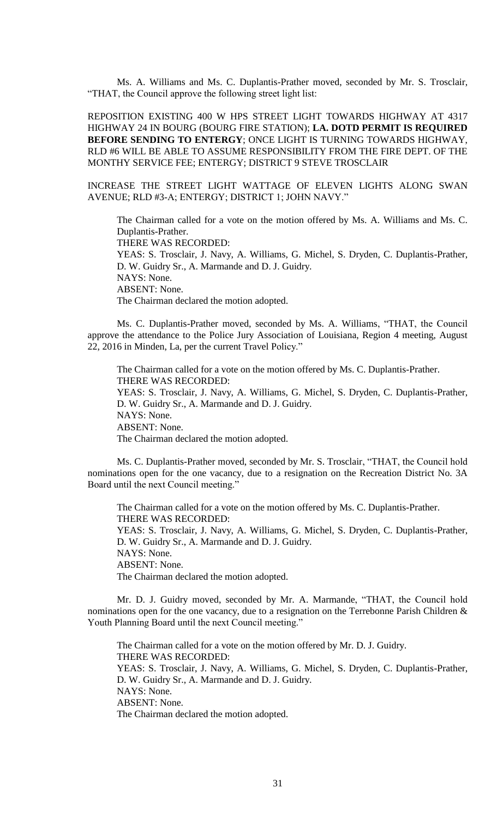Ms. A. Williams and Ms. C. Duplantis-Prather moved, seconded by Mr. S. Trosclair, "THAT, the Council approve the following street light list:

REPOSITION EXISTING 400 W HPS STREET LIGHT TOWARDS HIGHWAY AT 4317 HIGHWAY 24 IN BOURG (BOURG FIRE STATION); **LA. DOTD PERMIT IS REQUIRED BEFORE SENDING TO ENTERGY**; ONCE LIGHT IS TURNING TOWARDS HIGHWAY, RLD #6 WILL BE ABLE TO ASSUME RESPONSIBILITY FROM THE FIRE DEPT. OF THE MONTHY SERVICE FEE; ENTERGY; DISTRICT 9 STEVE TROSCLAIR

INCREASE THE STREET LIGHT WATTAGE OF ELEVEN LIGHTS ALONG SWAN AVENUE; RLD #3-A; ENTERGY; DISTRICT 1; JOHN NAVY."

The Chairman called for a vote on the motion offered by Ms. A. Williams and Ms. C. Duplantis-Prather. THERE WAS RECORDED: YEAS: S. Trosclair, J. Navy, A. Williams, G. Michel, S. Dryden, C. Duplantis-Prather, D. W. Guidry Sr., A. Marmande and D. J. Guidry. NAYS: None. ABSENT: None. The Chairman declared the motion adopted.

Ms. C. Duplantis-Prather moved, seconded by Ms. A. Williams, "THAT, the Council approve the attendance to the Police Jury Association of Louisiana, Region 4 meeting, August 22, 2016 in Minden, La, per the current Travel Policy."

The Chairman called for a vote on the motion offered by Ms. C. Duplantis-Prather. THERE WAS RECORDED: YEAS: S. Trosclair, J. Navy, A. Williams, G. Michel, S. Dryden, C. Duplantis-Prather, D. W. Guidry Sr., A. Marmande and D. J. Guidry. NAYS: None. ABSENT: None. The Chairman declared the motion adopted.

Ms. C. Duplantis-Prather moved, seconded by Mr. S. Trosclair, "THAT, the Council hold nominations open for the one vacancy, due to a resignation on the Recreation District No. 3A Board until the next Council meeting."

The Chairman called for a vote on the motion offered by Ms. C. Duplantis-Prather. THERE WAS RECORDED: YEAS: S. Trosclair, J. Navy, A. Williams, G. Michel, S. Dryden, C. Duplantis-Prather, D. W. Guidry Sr., A. Marmande and D. J. Guidry. NAYS: None. ABSENT: None. The Chairman declared the motion adopted.

Mr. D. J. Guidry moved, seconded by Mr. A. Marmande, "THAT, the Council hold nominations open for the one vacancy, due to a resignation on the Terrebonne Parish Children & Youth Planning Board until the next Council meeting."

The Chairman called for a vote on the motion offered by Mr. D. J. Guidry. THERE WAS RECORDED: YEAS: S. Trosclair, J. Navy, A. Williams, G. Michel, S. Dryden, C. Duplantis-Prather, D. W. Guidry Sr., A. Marmande and D. J. Guidry. NAYS: None. ABSENT: None. The Chairman declared the motion adopted.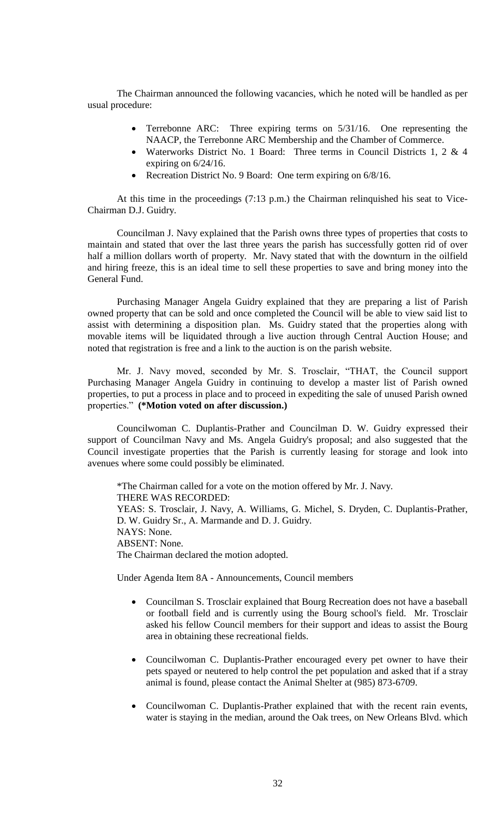The Chairman announced the following vacancies, which he noted will be handled as per usual procedure:

- Terrebonne ARC: Three expiring terms on 5/31/16. One representing the NAACP, the Terrebonne ARC Membership and the Chamber of Commerce.
- Waterworks District No. 1 Board: Three terms in Council Districts 1, 2 & 4 expiring on 6/24/16.
- Recreation District No. 9 Board: One term expiring on  $6/8/16$ .

At this time in the proceedings  $(7.13 \text{ p.m.})$  the Chairman relinquished his seat to Vice-Chairman D.J. Guidry.

Councilman J. Navy explained that the Parish owns three types of properties that costs to maintain and stated that over the last three years the parish has successfully gotten rid of over half a million dollars worth of property. Mr. Navy stated that with the downturn in the oilfield and hiring freeze, this is an ideal time to sell these properties to save and bring money into the General Fund.

Purchasing Manager Angela Guidry explained that they are preparing a list of Parish owned property that can be sold and once completed the Council will be able to view said list to assist with determining a disposition plan. Ms. Guidry stated that the properties along with movable items will be liquidated through a live auction through Central Auction House; and noted that registration is free and a link to the auction is on the parish website.

Mr. J. Navy moved, seconded by Mr. S. Trosclair, "THAT, the Council support Purchasing Manager Angela Guidry in continuing to develop a master list of Parish owned properties, to put a process in place and to proceed in expediting the sale of unused Parish owned properties." **(\*Motion voted on after discussion.)**

Councilwoman C. Duplantis-Prather and Councilman D. W. Guidry expressed their support of Councilman Navy and Ms. Angela Guidry's proposal; and also suggested that the Council investigate properties that the Parish is currently leasing for storage and look into avenues where some could possibly be eliminated.

\*The Chairman called for a vote on the motion offered by Mr. J. Navy. THERE WAS RECORDED: YEAS: S. Trosclair, J. Navy, A. Williams, G. Michel, S. Dryden, C. Duplantis-Prather, D. W. Guidry Sr., A. Marmande and D. J. Guidry. NAYS: None. ABSENT: None. The Chairman declared the motion adopted.

Under Agenda Item 8A - Announcements, Council members

- Councilman S. Trosclair explained that Bourg Recreation does not have a baseball or football field and is currently using the Bourg school's field. Mr. Trosclair asked his fellow Council members for their support and ideas to assist the Bourg area in obtaining these recreational fields.
- Councilwoman C. Duplantis-Prather encouraged every pet owner to have their pets spayed or neutered to help control the pet population and asked that if a stray animal is found, please contact the Animal Shelter at (985) 873-6709.
- Councilwoman C. Duplantis-Prather explained that with the recent rain events, water is staying in the median, around the Oak trees, on New Orleans Blvd. which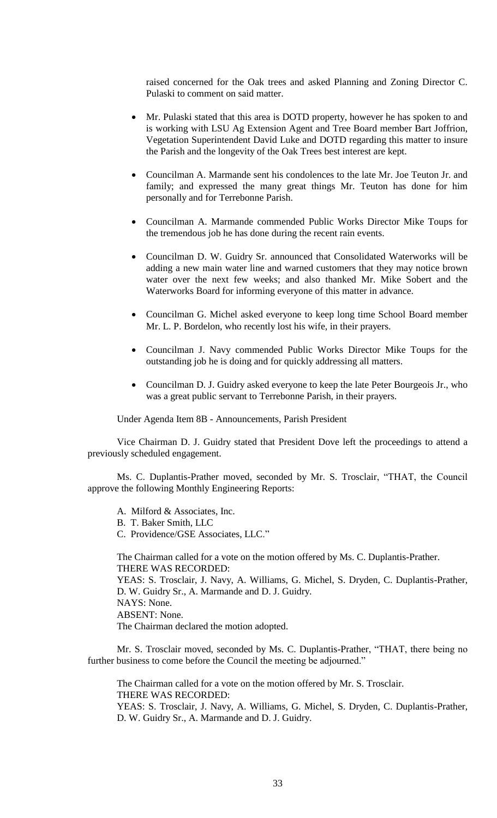raised concerned for the Oak trees and asked Planning and Zoning Director C. Pulaski to comment on said matter.

- Mr. Pulaski stated that this area is DOTD property, however he has spoken to and is working with LSU Ag Extension Agent and Tree Board member Bart Joffrion, Vegetation Superintendent David Luke and DOTD regarding this matter to insure the Parish and the longevity of the Oak Trees best interest are kept.
- Councilman A. Marmande sent his condolences to the late Mr. Joe Teuton Jr. and family; and expressed the many great things Mr. Teuton has done for him personally and for Terrebonne Parish.
- Councilman A. Marmande commended Public Works Director Mike Toups for the tremendous job he has done during the recent rain events.
- Councilman D. W. Guidry Sr. announced that Consolidated Waterworks will be adding a new main water line and warned customers that they may notice brown water over the next few weeks; and also thanked Mr. Mike Sobert and the Waterworks Board for informing everyone of this matter in advance.
- Councilman G. Michel asked everyone to keep long time School Board member Mr. L. P. Bordelon, who recently lost his wife, in their prayers.
- Councilman J. Navy commended Public Works Director Mike Toups for the outstanding job he is doing and for quickly addressing all matters.
- Councilman D. J. Guidry asked everyone to keep the late Peter Bourgeois Jr., who was a great public servant to Terrebonne Parish, in their prayers.

Under Agenda Item 8B - Announcements, Parish President

Vice Chairman D. J. Guidry stated that President Dove left the proceedings to attend a previously scheduled engagement.

Ms. C. Duplantis-Prather moved, seconded by Mr. S. Trosclair, "THAT, the Council approve the following Monthly Engineering Reports:

A. Milford & Associates, Inc.

B. T. Baker Smith, LLC

C. Providence/GSE Associates, LLC."

The Chairman called for a vote on the motion offered by Ms. C. Duplantis-Prather. THERE WAS RECORDED: YEAS: S. Trosclair, J. Navy, A. Williams, G. Michel, S. Dryden, C. Duplantis-Prather,

D. W. Guidry Sr., A. Marmande and D. J. Guidry. NAYS: None. ABSENT: None.

The Chairman declared the motion adopted.

Mr. S. Trosclair moved, seconded by Ms. C. Duplantis-Prather, "THAT, there being no further business to come before the Council the meeting be adjourned."

The Chairman called for a vote on the motion offered by Mr. S. Trosclair. THERE WAS RECORDED: YEAS: S. Trosclair, J. Navy, A. Williams, G. Michel, S. Dryden, C. Duplantis-Prather, D. W. Guidry Sr., A. Marmande and D. J. Guidry.